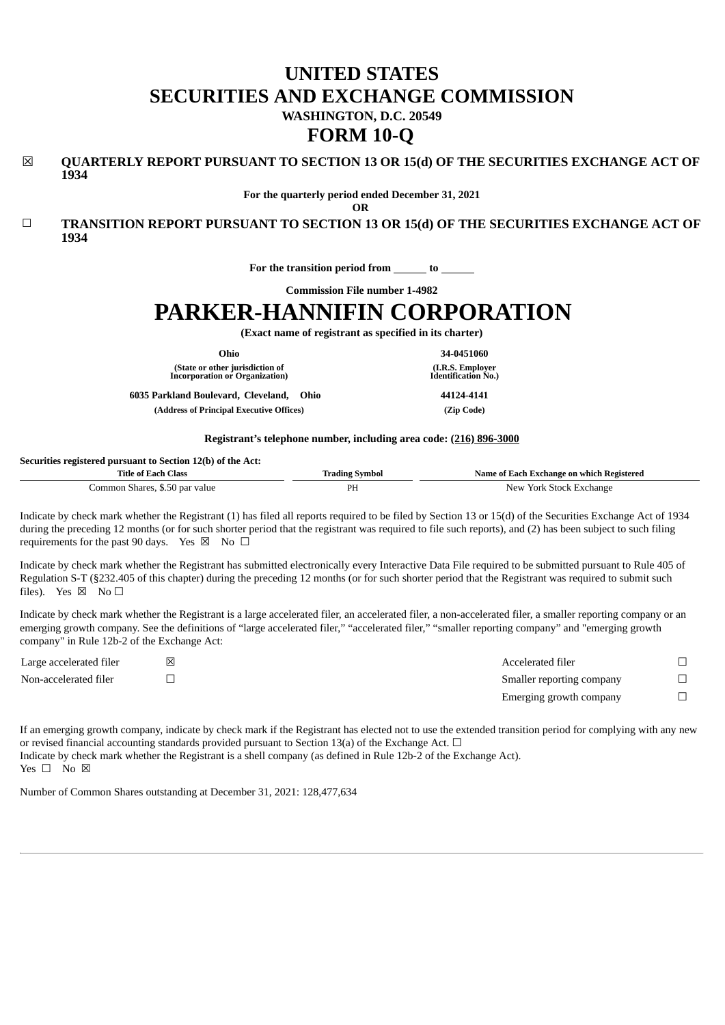# **UNITED STATES SECURITIES AND EXCHANGE COMMISSION WASHINGTON, D.C. 20549 FORM 10-Q**

# ☒ **QUARTERLY REPORT PURSUANT TO SECTION 13 OR 15(d) OF THE SECURITIES EXCHANGE ACT OF 1934**

**For the quarterly period ended December 31, 2021**

**OR**

# ☐ **TRANSITION REPORT PURSUANT TO SECTION 13 OR 15(d) OF THE SECURITIES EXCHANGE ACT OF 1934**

**For the transition period from to**

**Commission File number 1-4982**

# **PARKER-HANNIFIN CORPORATION**

**(Exact name of registrant as specified in its charter)**

**Ohio 34-0451060**

**(State or other jurisdiction of Incorporation or Organization)**

**6035 Parkland Boulevard, Cleveland, Ohio 44124-4141 (Address of Principal Executive Offices) (Zip Code)**

**(I.R.S. Employer Identification No.)**

#### **Registrant's telephone number, including area code: (216) 896-3000**

#### **Securities registered pursuant to Section 12(b) of the Act:**

| Title of<br><b>Class</b><br>. ach    | Symbol<br>Irading | : Registered<br>Name of Each Exchange on which |
|--------------------------------------|-------------------|------------------------------------------------|
| Shares<br>0 par value<br>.ommon<br>. | PH                | New<br>Stock Exchange<br>York                  |

Indicate by check mark whether the Registrant (1) has filed all reports required to be filed by Section 13 or 15(d) of the Securities Exchange Act of 1934 during the preceding 12 months (or for such shorter period that the registrant was required to file such reports), and (2) has been subject to such filing requirements for the past 90 days. Yes  $\boxtimes$  No  $\Box$ 

Indicate by check mark whether the Registrant has submitted electronically every Interactive Data File required to be submitted pursuant to Rule 405 of Regulation S-T (§232.405 of this chapter) during the preceding 12 months (or for such shorter period that the Registrant was required to submit such files). Yes  $\boxtimes$  No  $\square$ 

Indicate by check mark whether the Registrant is a large accelerated filer, an accelerated filer, a non-accelerated filer, a smaller reporting company or an emerging growth company. See the definitions of "large accelerated filer," "accelerated filer," "smaller reporting company" and "emerging growth company" in Rule 12b-2 of the Exchange Act:

| Large accelerated filer | Accelerated filer         |  |
|-------------------------|---------------------------|--|
| Non-accelerated filer   | Smaller reporting company |  |
|                         | Emerging growth company   |  |

If an emerging growth company, indicate by check mark if the Registrant has elected not to use the extended transition period for complying with any new or revised financial accounting standards provided pursuant to Section 13(a) of the Exchange Act.  $\Box$ Indicate by check mark whether the Registrant is a shell company (as defined in Rule 12b-2 of the Exchange Act). Yes □ No ⊠

Number of Common Shares outstanding at December 31, 2021: 128,477,634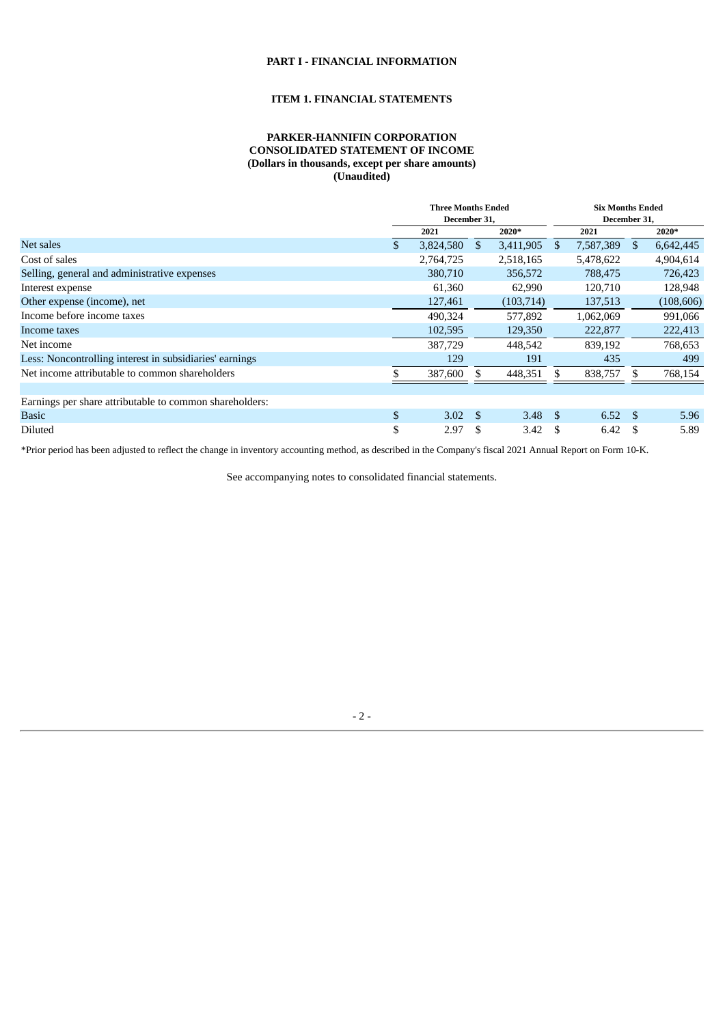# **PART I - FINANCIAL INFORMATION**

#### **ITEM 1. FINANCIAL STATEMENTS**

### **PARKER-HANNIFIN CORPORATION CONSOLIDATED STATEMENT OF INCOME (Dollars in thousands, except per share amounts) (Unaudited)**

|                                                         | <b>Three Months Ended</b> |                 |     |                    |      | <b>Six Months Ended</b><br>December 31, |               |            |  |  |
|---------------------------------------------------------|---------------------------|-----------------|-----|--------------------|------|-----------------------------------------|---------------|------------|--|--|
|                                                         | December 31,<br>2020*     |                 |     |                    |      |                                         | 2020*         |            |  |  |
| Net sales                                               |                           | 2021            |     |                    |      | 2021                                    |               |            |  |  |
|                                                         | S.                        | 3,824,580       | \$. | 3,411,905          | S.   | 7,587,389                               | <sup>\$</sup> | 6,642,445  |  |  |
| Cost of sales                                           |                           | 2,764,725       |     | 2,518,165          |      | 5,478,622                               |               | 4,904,614  |  |  |
| Selling, general and administrative expenses            |                           | 380,710         |     | 356,572            |      | 788,475                                 |               | 726,423    |  |  |
| Interest expense                                        |                           | 61,360          |     | 62,990             |      | 120,710                                 |               | 128,948    |  |  |
| Other expense (income), net                             |                           | 127,461         |     | (103, 714)         |      | 137,513                                 |               | (108, 606) |  |  |
| Income before income taxes                              |                           | 490,324         |     | 577,892            |      | 1,062,069                               |               | 991,066    |  |  |
| Income taxes                                            |                           | 102,595         |     | 129,350            |      | 222,877                                 |               | 222,413    |  |  |
| Net income                                              |                           | 387,729         |     | 448,542            |      | 839,192                                 |               | 768,653    |  |  |
| Less: Noncontrolling interest in subsidiaries' earnings |                           | 129             |     | 191                |      | 435                                     |               | 499        |  |  |
| Net income attributable to common shareholders          |                           | 387,600         |     | 448,351            |      | 838,757                                 | £.            | 768,154    |  |  |
|                                                         |                           |                 |     |                    |      |                                         |               |            |  |  |
| Earnings per share attributable to common shareholders: |                           |                 |     |                    |      |                                         |               |            |  |  |
| <b>Basic</b>                                            | \$.                       | $3.02 \quad$ \$ |     | 3.48 $\frac{1}{2}$ |      | 6.52                                    | - \$          | 5.96       |  |  |
| <b>Diluted</b>                                          | \$                        | 2.97            | \$. | 3.42               | - \$ | 6.42                                    | S             | 5.89       |  |  |

\*Prior period has been adjusted to reflect the change in inventory accounting method, as described in the Company's fiscal 2021 Annual Report on Form 10-K.

See accompanying notes to consolidated financial statements.

- 2 -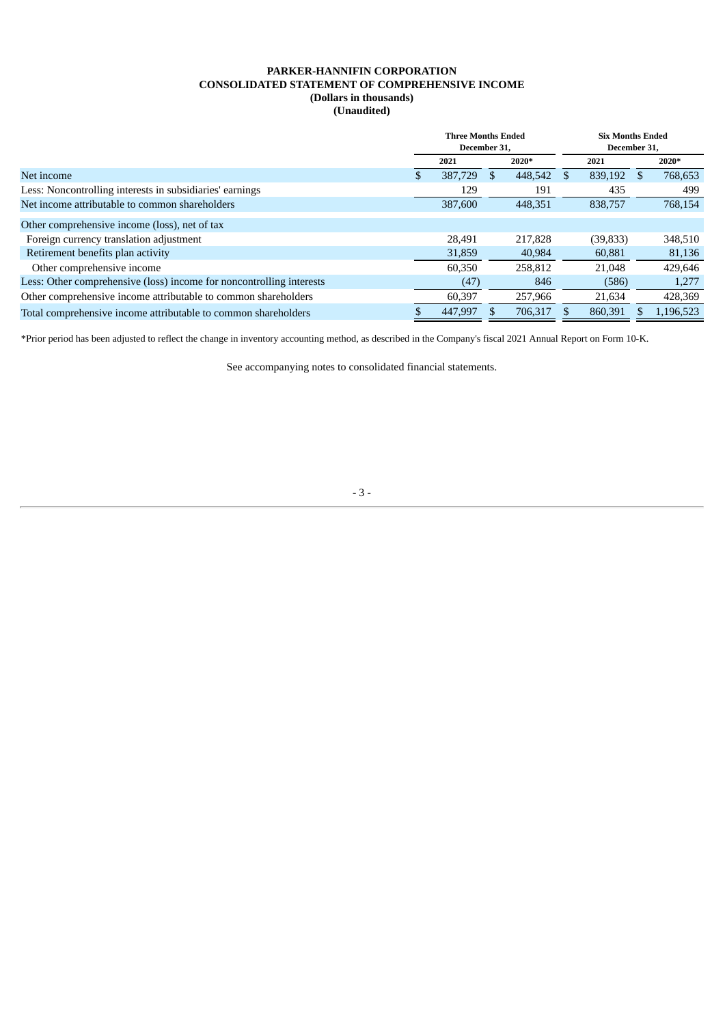#### **PARKER-HANNIFIN CORPORATION CONSOLIDATED STATEMENT OF COMPREHENSIVE INCOME (Dollars in thousands) (Unaudited)**

|                                                                      | <b>Three Months Ended</b><br>December 31, |         |      |         |              | <b>Six Months Ended</b><br>December 31, |          |           |  |
|----------------------------------------------------------------------|-------------------------------------------|---------|------|---------|--------------|-----------------------------------------|----------|-----------|--|
|                                                                      |                                           | 2021    |      | 2020*   |              | 2021                                    |          | 2020*     |  |
| Net income                                                           | Эħ.                                       | 387,729 | - \$ | 448,542 | <sup>S</sup> | 839,192                                 | <b>S</b> | 768,653   |  |
| Less: Noncontrolling interests in subsidiaries' earnings             |                                           | 129     |      | 191     |              | 435                                     |          | 499       |  |
| Net income attributable to common shareholders                       |                                           | 387,600 |      | 448,351 |              | 838,757                                 |          | 768,154   |  |
| Other comprehensive income (loss), net of tax                        |                                           |         |      |         |              |                                         |          |           |  |
| Foreign currency translation adjustment                              |                                           | 28.491  |      | 217,828 |              | (39, 833)                               |          | 348,510   |  |
| Retirement benefits plan activity                                    |                                           | 31,859  |      | 40,984  |              | 60,881                                  |          | 81,136    |  |
| Other comprehensive income                                           |                                           | 60,350  |      | 258.812 |              | 21,048                                  |          | 429.646   |  |
| Less: Other comprehensive (loss) income for noncontrolling interests |                                           | (47)    |      | 846     |              | (586)                                   |          | 1,277     |  |
| Other comprehensive income attributable to common shareholders       |                                           | 60.397  |      | 257,966 |              | 21,634                                  |          | 428,369   |  |
| Total comprehensive income attributable to common shareholders       |                                           | 447,997 |      | 706,317 |              | 860,391                                 |          | 1,196,523 |  |

\*Prior period has been adjusted to reflect the change in inventory accounting method, as described in the Company's fiscal 2021 Annual Report on Form 10-K.

See accompanying notes to consolidated financial statements.

#### - 3 -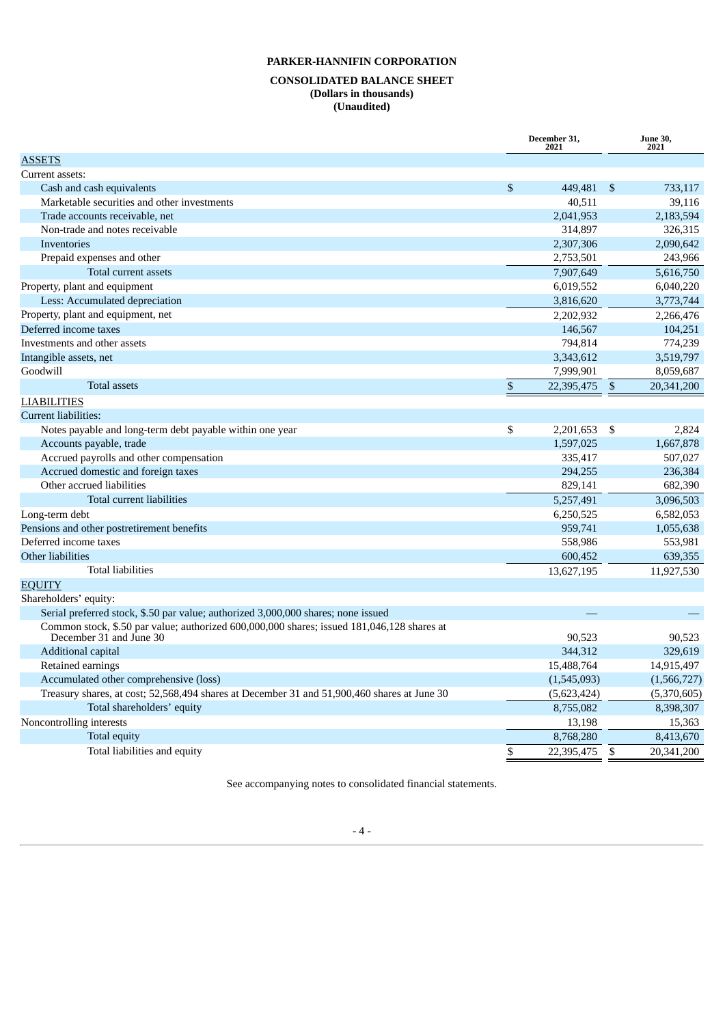# **CONSOLIDATED BALANCE SHEET**

**(Dollars in thousands)**

**(Unaudited)**

|                                                                                                                       |                    | December 31,<br>2021 |      | <b>June 30,</b><br>2021 |
|-----------------------------------------------------------------------------------------------------------------------|--------------------|----------------------|------|-------------------------|
| <b>ASSETS</b>                                                                                                         |                    |                      |      |                         |
| Current assets:                                                                                                       |                    |                      |      |                         |
| Cash and cash equivalents                                                                                             | $\mathbf{\hat{S}}$ | 449,481              | -\$  | 733,117                 |
| Marketable securities and other investments                                                                           |                    | 40,511               |      | 39.116                  |
| Trade accounts receivable, net                                                                                        |                    | 2,041,953            |      | 2,183,594               |
| Non-trade and notes receivable                                                                                        |                    | 314,897              |      | 326,315                 |
| Inventories                                                                                                           |                    | 2,307,306            |      | 2,090,642               |
| Prepaid expenses and other                                                                                            |                    | 2,753,501            |      | 243,966                 |
| Total current assets                                                                                                  |                    | 7,907,649            |      | 5,616,750               |
| Property, plant and equipment                                                                                         |                    | 6,019,552            |      | 6,040,220               |
| Less: Accumulated depreciation                                                                                        |                    | 3,816,620            |      | 3,773,744               |
| Property, plant and equipment, net                                                                                    |                    | 2,202,932            |      | 2,266,476               |
| Deferred income taxes                                                                                                 |                    | 146,567              |      | 104,251                 |
| Investments and other assets                                                                                          |                    | 794,814              |      | 774,239                 |
| Intangible assets, net                                                                                                |                    | 3,343,612            |      | 3,519,797               |
| Goodwill                                                                                                              |                    | 7,999,901            |      | 8,059,687               |
| <b>Total assets</b>                                                                                                   | $\mathbb{S}$       | 22,395,475           | $\$$ | 20,341,200              |
| <b>LIABILITIES</b>                                                                                                    |                    |                      |      |                         |
| Current liabilities:                                                                                                  |                    |                      |      |                         |
| Notes payable and long-term debt payable within one year                                                              | \$                 | 2,201,653            | - \$ | 2,824                   |
| Accounts payable, trade                                                                                               |                    | 1,597,025            |      | 1,667,878               |
| Accrued payrolls and other compensation                                                                               |                    | 335,417              |      | 507,027                 |
| Accrued domestic and foreign taxes                                                                                    |                    | 294,255              |      | 236,384                 |
| Other accrued liabilities                                                                                             |                    | 829,141              |      | 682,390                 |
| Total current liabilities                                                                                             |                    | 5,257,491            |      | 3,096,503               |
| Long-term debt                                                                                                        |                    | 6,250,525            |      | 6,582,053               |
| Pensions and other postretirement benefits                                                                            |                    | 959,741              |      | 1,055,638               |
| Deferred income taxes                                                                                                 |                    | 558,986              |      | 553,981                 |
| Other liabilities                                                                                                     |                    | 600,452              |      | 639,355                 |
| <b>Total liabilities</b>                                                                                              |                    | 13,627,195           |      | 11,927,530              |
| <b>EQUITY</b>                                                                                                         |                    |                      |      |                         |
| Shareholders' equity:                                                                                                 |                    |                      |      |                         |
| Serial preferred stock, \$.50 par value; authorized 3,000,000 shares; none issued                                     |                    |                      |      |                         |
| Common stock, \$.50 par value; authorized 600,000,000 shares; issued 181,046,128 shares at<br>December 31 and June 30 |                    | 90,523               |      | 90.523                  |
| Additional capital                                                                                                    |                    | 344,312              |      | 329,619                 |
| Retained earnings                                                                                                     |                    | 15,488,764           |      | 14,915,497              |
| Accumulated other comprehensive (loss)                                                                                |                    | (1,545,093)          |      | (1,566,727)             |
| Treasury shares, at cost; 52,568,494 shares at December 31 and 51,900,460 shares at June 30                           |                    | (5,623,424)          |      | (5,370,605)             |
| Total shareholders' equity                                                                                            |                    | 8,755,082            |      | 8,398,307               |
| Noncontrolling interests                                                                                              |                    | 13,198               |      | 15,363                  |
| Total equity                                                                                                          |                    | 8,768,280            |      | 8,413,670               |
| Total liabilities and equity                                                                                          | \$                 | 22,395,475           | \$   | 20,341,200              |

See accompanying notes to consolidated financial statements.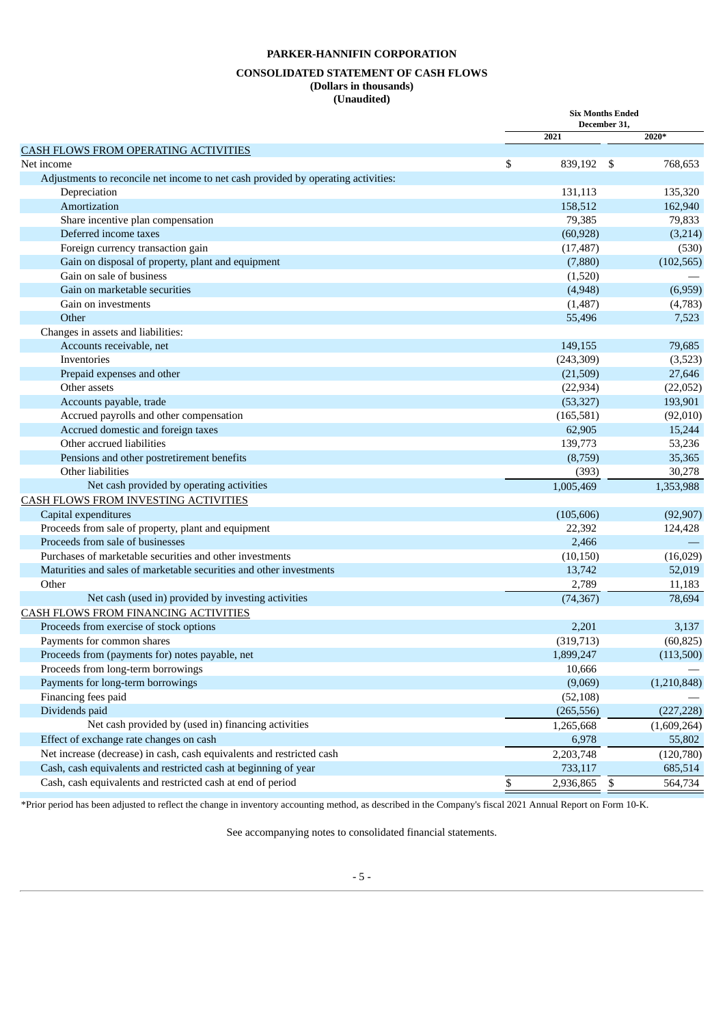# **CONSOLIDATED STATEMENT OF CASH FLOWS**

**(Dollars in thousands) (Unaudited)**

| December 31,<br>2021<br>2020*<br>CASH FLOWS FROM OPERATING ACTIVITIES<br>\$<br>Net income<br>768,653<br>839,192 \$<br>Adjustments to reconcile net income to net cash provided by operating activities:<br>135,320<br>Depreciation<br>131,113<br>Amortization<br>162,940<br>158,512<br>Share incentive plan compensation<br>79,385<br>79,833<br>Deferred income taxes<br>(60, 928)<br>(3,214)<br>Foreign currency transaction gain<br>(17, 487)<br>(530)<br>Gain on disposal of property, plant and equipment<br>(7,880)<br>(102, 565)<br>Gain on sale of business<br>(1,520)<br>Gain on marketable securities<br>(4,948)<br>(6,959)<br>Gain on investments<br>(1, 487)<br>(4,783)<br>Other<br>55,496<br>7,523<br>Changes in assets and liabilities:<br>Accounts receivable, net<br>149,155<br>79,685<br>Inventories<br>(243, 309)<br>(3,523)<br>Prepaid expenses and other<br>(21,509)<br>27,646<br>Other assets<br>(22, 934)<br>(22,052)<br>193,901<br>(53, 327)<br>Accounts payable, trade<br>(92,010)<br>Accrued payrolls and other compensation<br>(165, 581)<br>Accrued domestic and foreign taxes<br>62,905<br>15,244<br>Other accrued liabilities<br>53,236<br>139,773<br>35,365<br>Pensions and other postretirement benefits<br>(8,759)<br>Other liabilities<br>(393)<br>30,278<br>Net cash provided by operating activities<br>1,005,469<br>1,353,988<br>CASH FLOWS FROM INVESTING ACTIVITIES<br>Capital expenditures<br>(92, 907)<br>(105, 606)<br>Proceeds from sale of property, plant and equipment<br>22,392<br>124,428<br>Proceeds from sale of businesses<br>2,466<br>Purchases of marketable securities and other investments<br>(10, 150)<br>(16,029)<br>52,019<br>Maturities and sales of marketable securities and other investments<br>13,742<br>2,789<br>Other<br>11,183<br>Net cash (used in) provided by investing activities<br>(74, 367)<br>78,694<br>CASH FLOWS FROM FINANCING ACTIVITIES<br>Proceeds from exercise of stock options<br>2,201<br>3,137<br>(319, 713)<br>Payments for common shares<br>(60, 825)<br>1,899,247<br>(113,500)<br>Proceeds from (payments for) notes payable, net<br>Proceeds from long-term borrowings<br>10,666<br>Payments for long-term borrowings<br>(1,210,848)<br>(9,069)<br>Financing fees paid<br>(52, 108)<br>Dividends paid<br>(265, 556)<br>(227, 228)<br>Net cash provided by (used in) financing activities<br>1,265,668<br>(1,609,264)<br>Effect of exchange rate changes on cash<br>6,978<br>55,802<br>Net increase (decrease) in cash, cash equivalents and restricted cash<br>2,203,748<br>(120, 780)<br>Cash, cash equivalents and restricted cash at beginning of year<br>685,514<br>733,117<br>Cash, cash equivalents and restricted cash at end of period | <b>Six Months Ended</b> |           |     |         |  |  |
|-----------------------------------------------------------------------------------------------------------------------------------------------------------------------------------------------------------------------------------------------------------------------------------------------------------------------------------------------------------------------------------------------------------------------------------------------------------------------------------------------------------------------------------------------------------------------------------------------------------------------------------------------------------------------------------------------------------------------------------------------------------------------------------------------------------------------------------------------------------------------------------------------------------------------------------------------------------------------------------------------------------------------------------------------------------------------------------------------------------------------------------------------------------------------------------------------------------------------------------------------------------------------------------------------------------------------------------------------------------------------------------------------------------------------------------------------------------------------------------------------------------------------------------------------------------------------------------------------------------------------------------------------------------------------------------------------------------------------------------------------------------------------------------------------------------------------------------------------------------------------------------------------------------------------------------------------------------------------------------------------------------------------------------------------------------------------------------------------------------------------------------------------------------------------------------------------------------------------------------------------------------------------------------------------------------------------------------------------------------------------------------------------------------------------------------------------------------------------------------------------------------------------------------------------------------------------------------------------------------------------------------------------------------------------------------------------------------------------------------------|-------------------------|-----------|-----|---------|--|--|
|                                                                                                                                                                                                                                                                                                                                                                                                                                                                                                                                                                                                                                                                                                                                                                                                                                                                                                                                                                                                                                                                                                                                                                                                                                                                                                                                                                                                                                                                                                                                                                                                                                                                                                                                                                                                                                                                                                                                                                                                                                                                                                                                                                                                                                                                                                                                                                                                                                                                                                                                                                                                                                                                                                                                         |                         |           |     |         |  |  |
|                                                                                                                                                                                                                                                                                                                                                                                                                                                                                                                                                                                                                                                                                                                                                                                                                                                                                                                                                                                                                                                                                                                                                                                                                                                                                                                                                                                                                                                                                                                                                                                                                                                                                                                                                                                                                                                                                                                                                                                                                                                                                                                                                                                                                                                                                                                                                                                                                                                                                                                                                                                                                                                                                                                                         |                         |           |     |         |  |  |
|                                                                                                                                                                                                                                                                                                                                                                                                                                                                                                                                                                                                                                                                                                                                                                                                                                                                                                                                                                                                                                                                                                                                                                                                                                                                                                                                                                                                                                                                                                                                                                                                                                                                                                                                                                                                                                                                                                                                                                                                                                                                                                                                                                                                                                                                                                                                                                                                                                                                                                                                                                                                                                                                                                                                         |                         |           |     |         |  |  |
|                                                                                                                                                                                                                                                                                                                                                                                                                                                                                                                                                                                                                                                                                                                                                                                                                                                                                                                                                                                                                                                                                                                                                                                                                                                                                                                                                                                                                                                                                                                                                                                                                                                                                                                                                                                                                                                                                                                                                                                                                                                                                                                                                                                                                                                                                                                                                                                                                                                                                                                                                                                                                                                                                                                                         |                         |           |     |         |  |  |
|                                                                                                                                                                                                                                                                                                                                                                                                                                                                                                                                                                                                                                                                                                                                                                                                                                                                                                                                                                                                                                                                                                                                                                                                                                                                                                                                                                                                                                                                                                                                                                                                                                                                                                                                                                                                                                                                                                                                                                                                                                                                                                                                                                                                                                                                                                                                                                                                                                                                                                                                                                                                                                                                                                                                         |                         |           |     |         |  |  |
|                                                                                                                                                                                                                                                                                                                                                                                                                                                                                                                                                                                                                                                                                                                                                                                                                                                                                                                                                                                                                                                                                                                                                                                                                                                                                                                                                                                                                                                                                                                                                                                                                                                                                                                                                                                                                                                                                                                                                                                                                                                                                                                                                                                                                                                                                                                                                                                                                                                                                                                                                                                                                                                                                                                                         |                         |           |     |         |  |  |
|                                                                                                                                                                                                                                                                                                                                                                                                                                                                                                                                                                                                                                                                                                                                                                                                                                                                                                                                                                                                                                                                                                                                                                                                                                                                                                                                                                                                                                                                                                                                                                                                                                                                                                                                                                                                                                                                                                                                                                                                                                                                                                                                                                                                                                                                                                                                                                                                                                                                                                                                                                                                                                                                                                                                         |                         |           |     |         |  |  |
|                                                                                                                                                                                                                                                                                                                                                                                                                                                                                                                                                                                                                                                                                                                                                                                                                                                                                                                                                                                                                                                                                                                                                                                                                                                                                                                                                                                                                                                                                                                                                                                                                                                                                                                                                                                                                                                                                                                                                                                                                                                                                                                                                                                                                                                                                                                                                                                                                                                                                                                                                                                                                                                                                                                                         |                         |           |     |         |  |  |
|                                                                                                                                                                                                                                                                                                                                                                                                                                                                                                                                                                                                                                                                                                                                                                                                                                                                                                                                                                                                                                                                                                                                                                                                                                                                                                                                                                                                                                                                                                                                                                                                                                                                                                                                                                                                                                                                                                                                                                                                                                                                                                                                                                                                                                                                                                                                                                                                                                                                                                                                                                                                                                                                                                                                         |                         |           |     |         |  |  |
|                                                                                                                                                                                                                                                                                                                                                                                                                                                                                                                                                                                                                                                                                                                                                                                                                                                                                                                                                                                                                                                                                                                                                                                                                                                                                                                                                                                                                                                                                                                                                                                                                                                                                                                                                                                                                                                                                                                                                                                                                                                                                                                                                                                                                                                                                                                                                                                                                                                                                                                                                                                                                                                                                                                                         |                         |           |     |         |  |  |
|                                                                                                                                                                                                                                                                                                                                                                                                                                                                                                                                                                                                                                                                                                                                                                                                                                                                                                                                                                                                                                                                                                                                                                                                                                                                                                                                                                                                                                                                                                                                                                                                                                                                                                                                                                                                                                                                                                                                                                                                                                                                                                                                                                                                                                                                                                                                                                                                                                                                                                                                                                                                                                                                                                                                         |                         |           |     |         |  |  |
|                                                                                                                                                                                                                                                                                                                                                                                                                                                                                                                                                                                                                                                                                                                                                                                                                                                                                                                                                                                                                                                                                                                                                                                                                                                                                                                                                                                                                                                                                                                                                                                                                                                                                                                                                                                                                                                                                                                                                                                                                                                                                                                                                                                                                                                                                                                                                                                                                                                                                                                                                                                                                                                                                                                                         |                         |           |     |         |  |  |
|                                                                                                                                                                                                                                                                                                                                                                                                                                                                                                                                                                                                                                                                                                                                                                                                                                                                                                                                                                                                                                                                                                                                                                                                                                                                                                                                                                                                                                                                                                                                                                                                                                                                                                                                                                                                                                                                                                                                                                                                                                                                                                                                                                                                                                                                                                                                                                                                                                                                                                                                                                                                                                                                                                                                         |                         |           |     |         |  |  |
|                                                                                                                                                                                                                                                                                                                                                                                                                                                                                                                                                                                                                                                                                                                                                                                                                                                                                                                                                                                                                                                                                                                                                                                                                                                                                                                                                                                                                                                                                                                                                                                                                                                                                                                                                                                                                                                                                                                                                                                                                                                                                                                                                                                                                                                                                                                                                                                                                                                                                                                                                                                                                                                                                                                                         |                         |           |     |         |  |  |
|                                                                                                                                                                                                                                                                                                                                                                                                                                                                                                                                                                                                                                                                                                                                                                                                                                                                                                                                                                                                                                                                                                                                                                                                                                                                                                                                                                                                                                                                                                                                                                                                                                                                                                                                                                                                                                                                                                                                                                                                                                                                                                                                                                                                                                                                                                                                                                                                                                                                                                                                                                                                                                                                                                                                         |                         |           |     |         |  |  |
|                                                                                                                                                                                                                                                                                                                                                                                                                                                                                                                                                                                                                                                                                                                                                                                                                                                                                                                                                                                                                                                                                                                                                                                                                                                                                                                                                                                                                                                                                                                                                                                                                                                                                                                                                                                                                                                                                                                                                                                                                                                                                                                                                                                                                                                                                                                                                                                                                                                                                                                                                                                                                                                                                                                                         |                         |           |     |         |  |  |
|                                                                                                                                                                                                                                                                                                                                                                                                                                                                                                                                                                                                                                                                                                                                                                                                                                                                                                                                                                                                                                                                                                                                                                                                                                                                                                                                                                                                                                                                                                                                                                                                                                                                                                                                                                                                                                                                                                                                                                                                                                                                                                                                                                                                                                                                                                                                                                                                                                                                                                                                                                                                                                                                                                                                         |                         |           |     |         |  |  |
|                                                                                                                                                                                                                                                                                                                                                                                                                                                                                                                                                                                                                                                                                                                                                                                                                                                                                                                                                                                                                                                                                                                                                                                                                                                                                                                                                                                                                                                                                                                                                                                                                                                                                                                                                                                                                                                                                                                                                                                                                                                                                                                                                                                                                                                                                                                                                                                                                                                                                                                                                                                                                                                                                                                                         |                         |           |     |         |  |  |
|                                                                                                                                                                                                                                                                                                                                                                                                                                                                                                                                                                                                                                                                                                                                                                                                                                                                                                                                                                                                                                                                                                                                                                                                                                                                                                                                                                                                                                                                                                                                                                                                                                                                                                                                                                                                                                                                                                                                                                                                                                                                                                                                                                                                                                                                                                                                                                                                                                                                                                                                                                                                                                                                                                                                         |                         |           |     |         |  |  |
|                                                                                                                                                                                                                                                                                                                                                                                                                                                                                                                                                                                                                                                                                                                                                                                                                                                                                                                                                                                                                                                                                                                                                                                                                                                                                                                                                                                                                                                                                                                                                                                                                                                                                                                                                                                                                                                                                                                                                                                                                                                                                                                                                                                                                                                                                                                                                                                                                                                                                                                                                                                                                                                                                                                                         |                         |           |     |         |  |  |
|                                                                                                                                                                                                                                                                                                                                                                                                                                                                                                                                                                                                                                                                                                                                                                                                                                                                                                                                                                                                                                                                                                                                                                                                                                                                                                                                                                                                                                                                                                                                                                                                                                                                                                                                                                                                                                                                                                                                                                                                                                                                                                                                                                                                                                                                                                                                                                                                                                                                                                                                                                                                                                                                                                                                         |                         |           |     |         |  |  |
|                                                                                                                                                                                                                                                                                                                                                                                                                                                                                                                                                                                                                                                                                                                                                                                                                                                                                                                                                                                                                                                                                                                                                                                                                                                                                                                                                                                                                                                                                                                                                                                                                                                                                                                                                                                                                                                                                                                                                                                                                                                                                                                                                                                                                                                                                                                                                                                                                                                                                                                                                                                                                                                                                                                                         |                         |           |     |         |  |  |
|                                                                                                                                                                                                                                                                                                                                                                                                                                                                                                                                                                                                                                                                                                                                                                                                                                                                                                                                                                                                                                                                                                                                                                                                                                                                                                                                                                                                                                                                                                                                                                                                                                                                                                                                                                                                                                                                                                                                                                                                                                                                                                                                                                                                                                                                                                                                                                                                                                                                                                                                                                                                                                                                                                                                         |                         |           |     |         |  |  |
|                                                                                                                                                                                                                                                                                                                                                                                                                                                                                                                                                                                                                                                                                                                                                                                                                                                                                                                                                                                                                                                                                                                                                                                                                                                                                                                                                                                                                                                                                                                                                                                                                                                                                                                                                                                                                                                                                                                                                                                                                                                                                                                                                                                                                                                                                                                                                                                                                                                                                                                                                                                                                                                                                                                                         |                         |           |     |         |  |  |
|                                                                                                                                                                                                                                                                                                                                                                                                                                                                                                                                                                                                                                                                                                                                                                                                                                                                                                                                                                                                                                                                                                                                                                                                                                                                                                                                                                                                                                                                                                                                                                                                                                                                                                                                                                                                                                                                                                                                                                                                                                                                                                                                                                                                                                                                                                                                                                                                                                                                                                                                                                                                                                                                                                                                         |                         |           |     |         |  |  |
|                                                                                                                                                                                                                                                                                                                                                                                                                                                                                                                                                                                                                                                                                                                                                                                                                                                                                                                                                                                                                                                                                                                                                                                                                                                                                                                                                                                                                                                                                                                                                                                                                                                                                                                                                                                                                                                                                                                                                                                                                                                                                                                                                                                                                                                                                                                                                                                                                                                                                                                                                                                                                                                                                                                                         |                         |           |     |         |  |  |
|                                                                                                                                                                                                                                                                                                                                                                                                                                                                                                                                                                                                                                                                                                                                                                                                                                                                                                                                                                                                                                                                                                                                                                                                                                                                                                                                                                                                                                                                                                                                                                                                                                                                                                                                                                                                                                                                                                                                                                                                                                                                                                                                                                                                                                                                                                                                                                                                                                                                                                                                                                                                                                                                                                                                         |                         |           |     |         |  |  |
|                                                                                                                                                                                                                                                                                                                                                                                                                                                                                                                                                                                                                                                                                                                                                                                                                                                                                                                                                                                                                                                                                                                                                                                                                                                                                                                                                                                                                                                                                                                                                                                                                                                                                                                                                                                                                                                                                                                                                                                                                                                                                                                                                                                                                                                                                                                                                                                                                                                                                                                                                                                                                                                                                                                                         |                         |           |     |         |  |  |
|                                                                                                                                                                                                                                                                                                                                                                                                                                                                                                                                                                                                                                                                                                                                                                                                                                                                                                                                                                                                                                                                                                                                                                                                                                                                                                                                                                                                                                                                                                                                                                                                                                                                                                                                                                                                                                                                                                                                                                                                                                                                                                                                                                                                                                                                                                                                                                                                                                                                                                                                                                                                                                                                                                                                         |                         |           |     |         |  |  |
|                                                                                                                                                                                                                                                                                                                                                                                                                                                                                                                                                                                                                                                                                                                                                                                                                                                                                                                                                                                                                                                                                                                                                                                                                                                                                                                                                                                                                                                                                                                                                                                                                                                                                                                                                                                                                                                                                                                                                                                                                                                                                                                                                                                                                                                                                                                                                                                                                                                                                                                                                                                                                                                                                                                                         |                         |           |     |         |  |  |
|                                                                                                                                                                                                                                                                                                                                                                                                                                                                                                                                                                                                                                                                                                                                                                                                                                                                                                                                                                                                                                                                                                                                                                                                                                                                                                                                                                                                                                                                                                                                                                                                                                                                                                                                                                                                                                                                                                                                                                                                                                                                                                                                                                                                                                                                                                                                                                                                                                                                                                                                                                                                                                                                                                                                         |                         |           |     |         |  |  |
|                                                                                                                                                                                                                                                                                                                                                                                                                                                                                                                                                                                                                                                                                                                                                                                                                                                                                                                                                                                                                                                                                                                                                                                                                                                                                                                                                                                                                                                                                                                                                                                                                                                                                                                                                                                                                                                                                                                                                                                                                                                                                                                                                                                                                                                                                                                                                                                                                                                                                                                                                                                                                                                                                                                                         |                         |           |     |         |  |  |
|                                                                                                                                                                                                                                                                                                                                                                                                                                                                                                                                                                                                                                                                                                                                                                                                                                                                                                                                                                                                                                                                                                                                                                                                                                                                                                                                                                                                                                                                                                                                                                                                                                                                                                                                                                                                                                                                                                                                                                                                                                                                                                                                                                                                                                                                                                                                                                                                                                                                                                                                                                                                                                                                                                                                         |                         |           |     |         |  |  |
|                                                                                                                                                                                                                                                                                                                                                                                                                                                                                                                                                                                                                                                                                                                                                                                                                                                                                                                                                                                                                                                                                                                                                                                                                                                                                                                                                                                                                                                                                                                                                                                                                                                                                                                                                                                                                                                                                                                                                                                                                                                                                                                                                                                                                                                                                                                                                                                                                                                                                                                                                                                                                                                                                                                                         |                         |           |     |         |  |  |
|                                                                                                                                                                                                                                                                                                                                                                                                                                                                                                                                                                                                                                                                                                                                                                                                                                                                                                                                                                                                                                                                                                                                                                                                                                                                                                                                                                                                                                                                                                                                                                                                                                                                                                                                                                                                                                                                                                                                                                                                                                                                                                                                                                                                                                                                                                                                                                                                                                                                                                                                                                                                                                                                                                                                         |                         |           |     |         |  |  |
|                                                                                                                                                                                                                                                                                                                                                                                                                                                                                                                                                                                                                                                                                                                                                                                                                                                                                                                                                                                                                                                                                                                                                                                                                                                                                                                                                                                                                                                                                                                                                                                                                                                                                                                                                                                                                                                                                                                                                                                                                                                                                                                                                                                                                                                                                                                                                                                                                                                                                                                                                                                                                                                                                                                                         |                         |           |     |         |  |  |
|                                                                                                                                                                                                                                                                                                                                                                                                                                                                                                                                                                                                                                                                                                                                                                                                                                                                                                                                                                                                                                                                                                                                                                                                                                                                                                                                                                                                                                                                                                                                                                                                                                                                                                                                                                                                                                                                                                                                                                                                                                                                                                                                                                                                                                                                                                                                                                                                                                                                                                                                                                                                                                                                                                                                         |                         |           |     |         |  |  |
|                                                                                                                                                                                                                                                                                                                                                                                                                                                                                                                                                                                                                                                                                                                                                                                                                                                                                                                                                                                                                                                                                                                                                                                                                                                                                                                                                                                                                                                                                                                                                                                                                                                                                                                                                                                                                                                                                                                                                                                                                                                                                                                                                                                                                                                                                                                                                                                                                                                                                                                                                                                                                                                                                                                                         |                         |           |     |         |  |  |
|                                                                                                                                                                                                                                                                                                                                                                                                                                                                                                                                                                                                                                                                                                                                                                                                                                                                                                                                                                                                                                                                                                                                                                                                                                                                                                                                                                                                                                                                                                                                                                                                                                                                                                                                                                                                                                                                                                                                                                                                                                                                                                                                                                                                                                                                                                                                                                                                                                                                                                                                                                                                                                                                                                                                         |                         |           |     |         |  |  |
|                                                                                                                                                                                                                                                                                                                                                                                                                                                                                                                                                                                                                                                                                                                                                                                                                                                                                                                                                                                                                                                                                                                                                                                                                                                                                                                                                                                                                                                                                                                                                                                                                                                                                                                                                                                                                                                                                                                                                                                                                                                                                                                                                                                                                                                                                                                                                                                                                                                                                                                                                                                                                                                                                                                                         |                         |           |     |         |  |  |
|                                                                                                                                                                                                                                                                                                                                                                                                                                                                                                                                                                                                                                                                                                                                                                                                                                                                                                                                                                                                                                                                                                                                                                                                                                                                                                                                                                                                                                                                                                                                                                                                                                                                                                                                                                                                                                                                                                                                                                                                                                                                                                                                                                                                                                                                                                                                                                                                                                                                                                                                                                                                                                                                                                                                         |                         |           |     |         |  |  |
|                                                                                                                                                                                                                                                                                                                                                                                                                                                                                                                                                                                                                                                                                                                                                                                                                                                                                                                                                                                                                                                                                                                                                                                                                                                                                                                                                                                                                                                                                                                                                                                                                                                                                                                                                                                                                                                                                                                                                                                                                                                                                                                                                                                                                                                                                                                                                                                                                                                                                                                                                                                                                                                                                                                                         |                         |           |     |         |  |  |
|                                                                                                                                                                                                                                                                                                                                                                                                                                                                                                                                                                                                                                                                                                                                                                                                                                                                                                                                                                                                                                                                                                                                                                                                                                                                                                                                                                                                                                                                                                                                                                                                                                                                                                                                                                                                                                                                                                                                                                                                                                                                                                                                                                                                                                                                                                                                                                                                                                                                                                                                                                                                                                                                                                                                         |                         |           |     |         |  |  |
|                                                                                                                                                                                                                                                                                                                                                                                                                                                                                                                                                                                                                                                                                                                                                                                                                                                                                                                                                                                                                                                                                                                                                                                                                                                                                                                                                                                                                                                                                                                                                                                                                                                                                                                                                                                                                                                                                                                                                                                                                                                                                                                                                                                                                                                                                                                                                                                                                                                                                                                                                                                                                                                                                                                                         |                         |           |     |         |  |  |
|                                                                                                                                                                                                                                                                                                                                                                                                                                                                                                                                                                                                                                                                                                                                                                                                                                                                                                                                                                                                                                                                                                                                                                                                                                                                                                                                                                                                                                                                                                                                                                                                                                                                                                                                                                                                                                                                                                                                                                                                                                                                                                                                                                                                                                                                                                                                                                                                                                                                                                                                                                                                                                                                                                                                         |                         |           |     |         |  |  |
|                                                                                                                                                                                                                                                                                                                                                                                                                                                                                                                                                                                                                                                                                                                                                                                                                                                                                                                                                                                                                                                                                                                                                                                                                                                                                                                                                                                                                                                                                                                                                                                                                                                                                                                                                                                                                                                                                                                                                                                                                                                                                                                                                                                                                                                                                                                                                                                                                                                                                                                                                                                                                                                                                                                                         |                         |           |     |         |  |  |
|                                                                                                                                                                                                                                                                                                                                                                                                                                                                                                                                                                                                                                                                                                                                                                                                                                                                                                                                                                                                                                                                                                                                                                                                                                                                                                                                                                                                                                                                                                                                                                                                                                                                                                                                                                                                                                                                                                                                                                                                                                                                                                                                                                                                                                                                                                                                                                                                                                                                                                                                                                                                                                                                                                                                         | \$                      | 2,936,865 | -\$ | 564,734 |  |  |

\*Prior period has been adjusted to reflect the change in inventory accounting method, as described in the Company's fiscal 2021 Annual Report on Form 10-K.

See accompanying notes to consolidated financial statements.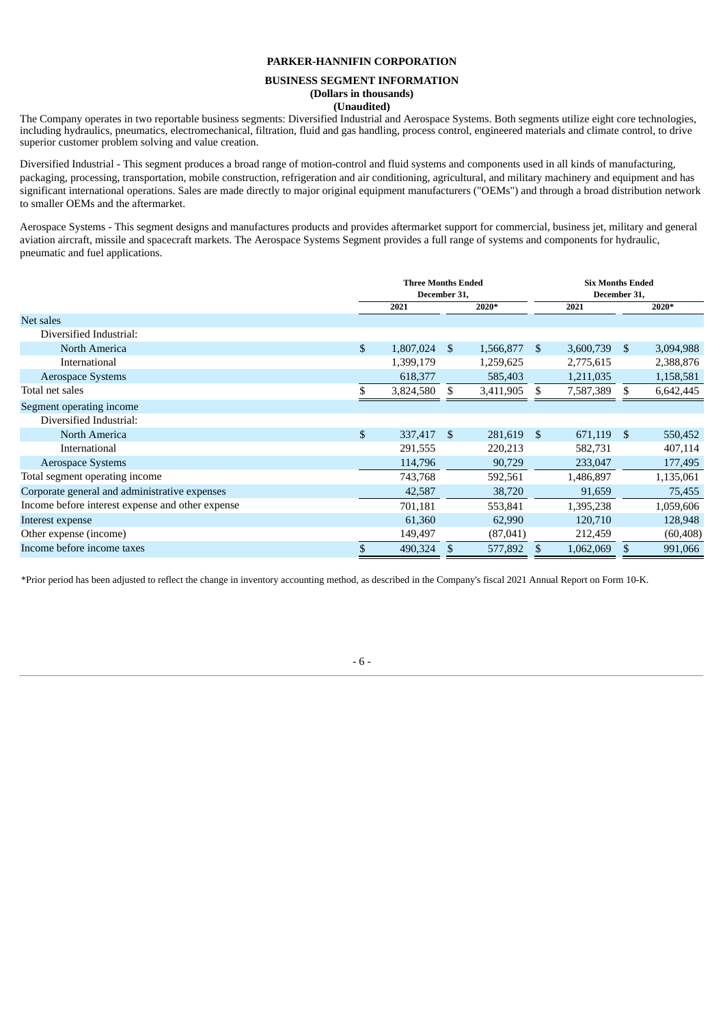#### **BUSINESS SEGMENT INFORMATION**

**(Dollars in thousands)**

**(Unaudited)**

The Company operates in two reportable business segments: Diversified Industrial and Aerospace Systems. Both segments utilize eight core technologies, including hydraulics, pneumatics, electromechanical, filtration, fluid and gas handling, process control, engineered materials and climate control, to drive superior customer problem solving and value creation.

Diversified Industrial - This segment produces a broad range of motion-control and fluid systems and components used in all kinds of manufacturing, packaging, processing, transportation, mobile construction, refrigeration and air conditioning, agricultural, and military machinery and equipment and has significant international operations. Sales are made directly to major original equipment manufacturers ("OEMs") and through a broad distribution network to smaller OEMs and the aftermarket.

Aerospace Systems - This segment designs and manufactures products and provides aftermarket support for commercial, business jet, military and general aviation aircraft, missile and spacecraft markets. The Aerospace Systems Segment provides a full range of systems and components for hydraulic, pneumatic and fuel applications.

|                                                  | <b>Three Months Ended</b> |              |     |            |    | <b>Six Months Ended</b> |               |           |  |  |
|--------------------------------------------------|---------------------------|--------------|-----|------------|----|-------------------------|---------------|-----------|--|--|
|                                                  |                           | December 31, |     |            |    | December 31,            |               |           |  |  |
|                                                  |                           | 2021         |     | 2020*      |    | 2021                    |               | 2020*     |  |  |
| Net sales                                        |                           |              |     |            |    |                         |               |           |  |  |
| Diversified Industrial:                          |                           |              |     |            |    |                         |               |           |  |  |
| North America                                    | $\mathfrak{S}$            | 1,807,024    | \$. | 1,566,877  | -S | 3,600,739               | <sup>\$</sup> | 3,094,988 |  |  |
| International                                    |                           | 1,399,179    |     | 1,259,625  |    | 2,775,615               |               | 2,388,876 |  |  |
| <b>Aerospace Systems</b>                         |                           | 618,377      |     | 585,403    |    | 1,211,035               |               | 1,158,581 |  |  |
| Total net sales                                  |                           | 3,824,580    | S   | 3,411,905  | S  | 7,587,389               | \$            | 6,642,445 |  |  |
| Segment operating income                         |                           |              |     |            |    |                         |               |           |  |  |
| Diversified Industrial:                          |                           |              |     |            |    |                         |               |           |  |  |
| North America                                    | \$                        | 337,417      | \$  | 281,619 \$ |    | 671,119                 | -\$           | 550,452   |  |  |
| International                                    |                           | 291,555      |     | 220,213    |    | 582,731                 |               | 407,114   |  |  |
| Aerospace Systems                                |                           | 114,796      |     | 90,729     |    | 233,047                 |               | 177,495   |  |  |
| Total segment operating income                   |                           | 743,768      |     | 592,561    |    | 1,486,897               |               | 1,135,061 |  |  |
| Corporate general and administrative expenses    |                           | 42,587       |     | 38,720     |    | 91,659                  |               | 75,455    |  |  |
| Income before interest expense and other expense |                           | 701,181      |     | 553,841    |    | 1,395,238               |               | 1,059,606 |  |  |
| Interest expense                                 |                           | 61,360       |     | 62,990     |    | 120,710                 |               | 128,948   |  |  |
| Other expense (income)                           |                           | 149,497      |     | (87, 041)  |    | 212,459                 |               | (60, 408) |  |  |
| Income before income taxes                       | \$                        | 490,324      |     | 577,892    |    | 1,062,069               | \$            | 991,066   |  |  |

\*Prior period has been adjusted to reflect the change in inventory accounting method, as described in the Company's fiscal 2021 Annual Report on Form 10-K.

- 6 -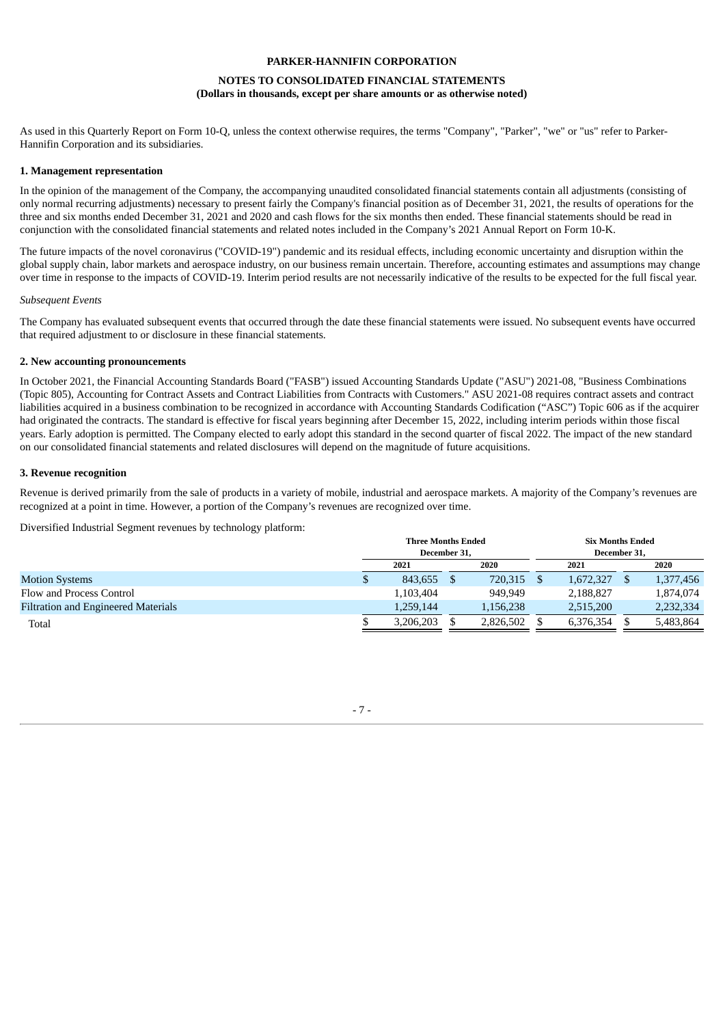# **NOTES TO CONSOLIDATED FINANCIAL STATEMENTS**

**(Dollars in thousands, except per share amounts or as otherwise noted)**

As used in this Quarterly Report on Form 10-Q, unless the context otherwise requires, the terms "Company", "Parker", "we" or "us" refer to Parker-Hannifin Corporation and its subsidiaries.

#### **1. Management representation**

In the opinion of the management of the Company, the accompanying unaudited consolidated financial statements contain all adjustments (consisting of only normal recurring adjustments) necessary to present fairly the Company's financial position as of December 31, 2021, the results of operations for the three and six months ended December 31, 2021 and 2020 and cash flows for the six months then ended. These financial statements should be read in conjunction with the consolidated financial statements and related notes included in the Company's 2021 Annual Report on Form 10-K.

The future impacts of the novel coronavirus ("COVID-19") pandemic and its residual effects, including economic uncertainty and disruption within the global supply chain, labor markets and aerospace industry, on our business remain uncertain. Therefore, accounting estimates and assumptions may change over time in response to the impacts of COVID-19. Interim period results are not necessarily indicative of the results to be expected for the full fiscal year.

#### *Subsequent Events*

The Company has evaluated subsequent events that occurred through the date these financial statements were issued. No subsequent events have occurred that required adjustment to or disclosure in these financial statements.

#### **2. New accounting pronouncements**

In October 2021, the Financial Accounting Standards Board ("FASB") issued Accounting Standards Update ("ASU") 2021-08, "Business Combinations (Topic 805), Accounting for Contract Assets and Contract Liabilities from Contracts with Customers." ASU 2021-08 requires contract assets and contract liabilities acquired in a business combination to be recognized in accordance with Accounting Standards Codification ("ASC") Topic 606 as if the acquirer had originated the contracts. The standard is effective for fiscal years beginning after December 15, 2022, including interim periods within those fiscal years. Early adoption is permitted. The Company elected to early adopt this standard in the second quarter of fiscal 2022. The impact of the new standard on our consolidated financial statements and related disclosures will depend on the magnitude of future acquisitions.

#### **3. Revenue recognition**

Revenue is derived primarily from the sale of products in a variety of mobile, industrial and aerospace markets. A majority of the Company's revenues are recognized at a point in time. However, a portion of the Company's revenues are recognized over time.

Diversified Industrial Segment revenues by technology platform:

|                                            | <b>Three Months Ended</b><br>December 31, |           |  |           |  | <b>Six Months Ended</b><br>December 31. |  |           |  |  |
|--------------------------------------------|-------------------------------------------|-----------|--|-----------|--|-----------------------------------------|--|-----------|--|--|
|                                            |                                           | 2021      |  | 2020      |  | 2021                                    |  | 2020      |  |  |
| <b>Motion Systems</b>                      |                                           | 843,655   |  | 720,315   |  | 1,672,327                               |  | 1,377,456 |  |  |
| Flow and Process Control                   |                                           | 1.103.404 |  | 949.949   |  | 2.188.827                               |  | 1.874.074 |  |  |
| <b>Filtration and Engineered Materials</b> |                                           | 1,259,144 |  | 1,156,238 |  | 2,515,200                               |  | 2,232,334 |  |  |
| Total                                      |                                           | 3,206,203 |  | 2.826.502 |  | 6.376.354                               |  | 5,483,864 |  |  |

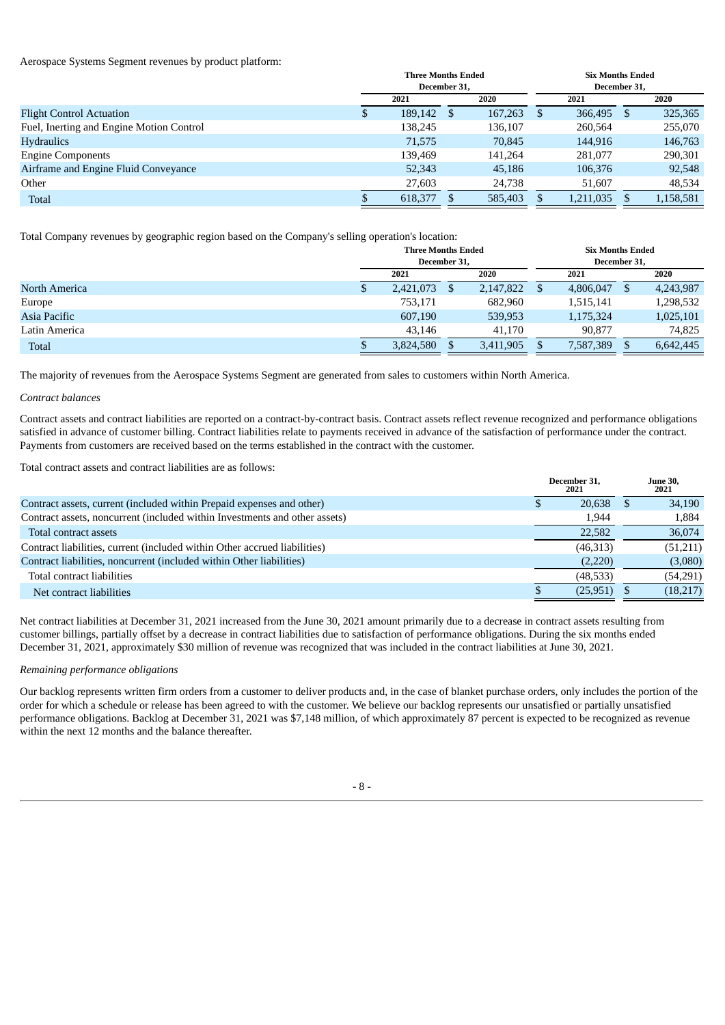Aerospace Systems Segment revenues by product platform:

|                                          |              | <b>Three Months Ended</b> |    |         | <b>Six Months Ended</b> |              |      |           |  |
|------------------------------------------|--------------|---------------------------|----|---------|-------------------------|--------------|------|-----------|--|
|                                          | December 31, |                           |    |         |                         | December 31, |      |           |  |
|                                          |              | 2020<br>2021              |    |         | 2021                    |              | 2020 |           |  |
| <b>Flight Control Actuation</b>          | D            | 189,142                   | S. | 167,263 | - S                     | 366,495      | -S   | 325,365   |  |
| Fuel, Inerting and Engine Motion Control |              | 138,245                   |    | 136,107 |                         | 260,564      |      | 255,070   |  |
| <b>Hydraulics</b>                        |              | 71.575                    |    | 70.845  |                         | 144,916      |      | 146,763   |  |
| <b>Engine Components</b>                 |              | 139,469                   |    | 141,264 |                         | 281,077      |      | 290,301   |  |
| Airframe and Engine Fluid Conveyance     |              | 52,343                    |    | 45,186  |                         | 106,376      |      | 92,548    |  |
| Other                                    |              | 27,603                    |    | 24,738  |                         | 51,607       |      | 48,534    |  |
| Total                                    |              | 618,377                   |    | 585,403 |                         | 1,211,035    |      | 1,158,581 |  |

Total Company revenues by geographic region based on the Company's selling operation's location:

|               | <b>Three Months Ended</b><br>December 31, |           |  |           |  | <b>Six Months Ended</b><br>December 31, |  |           |  |
|---------------|-------------------------------------------|-----------|--|-----------|--|-----------------------------------------|--|-----------|--|
|               |                                           | 2021      |  | 2020      |  | 2021                                    |  | 2020      |  |
| North America |                                           | 2,421,073 |  | 2,147,822 |  | 4,806,047                               |  | 4,243,987 |  |
| Europe        |                                           | 753,171   |  | 682,960   |  | 1,515,141                               |  | 1,298,532 |  |
| Asia Pacific  |                                           | 607,190   |  | 539,953   |  | 1,175,324                               |  | 1,025,101 |  |
| Latin America |                                           | 43.146    |  | 41.170    |  | 90.877                                  |  | 74,825    |  |
| <b>Total</b>  |                                           | 3,824,580 |  | 3,411,905 |  | 7,587,389                               |  | 6,642,445 |  |

The majority of revenues from the Aerospace Systems Segment are generated from sales to customers within North America.

#### *Contract balances*

Contract assets and contract liabilities are reported on a contract-by-contract basis. Contract assets reflect revenue recognized and performance obligations satisfied in advance of customer billing. Contract liabilities relate to payments received in advance of the satisfaction of performance under the contract. Payments from customers are received based on the terms established in the contract with the customer.

Total contract assets and contract liabilities are as follows:

|                                                                            | December 31,<br>2021 |      | <b>June 30,</b><br>2021 |
|----------------------------------------------------------------------------|----------------------|------|-------------------------|
| Contract assets, current (included within Prepaid expenses and other)      | 20,638               | - 55 | 34,190                  |
| Contract assets, noncurrent (included within Investments and other assets) | 1.944                |      | 1,884                   |
| Total contract assets                                                      | 22,582               |      | 36,074                  |
| Contract liabilities, current (included within Other accrued liabilities)  | (46,313)             |      | (51,211)                |
| Contract liabilities, noncurrent (included within Other liabilities)       | (2,220)              |      | (3,080)                 |
| Total contract liabilities                                                 | (48, 533)            |      | (54,291)                |
| Net contract liabilities                                                   | (25, 951)            |      | (18,217)                |

Net contract liabilities at December 31, 2021 increased from the June 30, 2021 amount primarily due to a decrease in contract assets resulting from customer billings, partially offset by a decrease in contract liabilities due to satisfaction of performance obligations. During the six months ended December 31, 2021, approximately \$30 million of revenue was recognized that was included in the contract liabilities at June 30, 2021.

# *Remaining performance obligations*

Our backlog represents written firm orders from a customer to deliver products and, in the case of blanket purchase orders, only includes the portion of the order for which a schedule or release has been agreed to with the customer. We believe our backlog represents our unsatisfied or partially unsatisfied performance obligations. Backlog at December 31, 2021 was \$7,148 million, of which approximately 87 percent is expected to be recognized as revenue within the next 12 months and the balance thereafter.

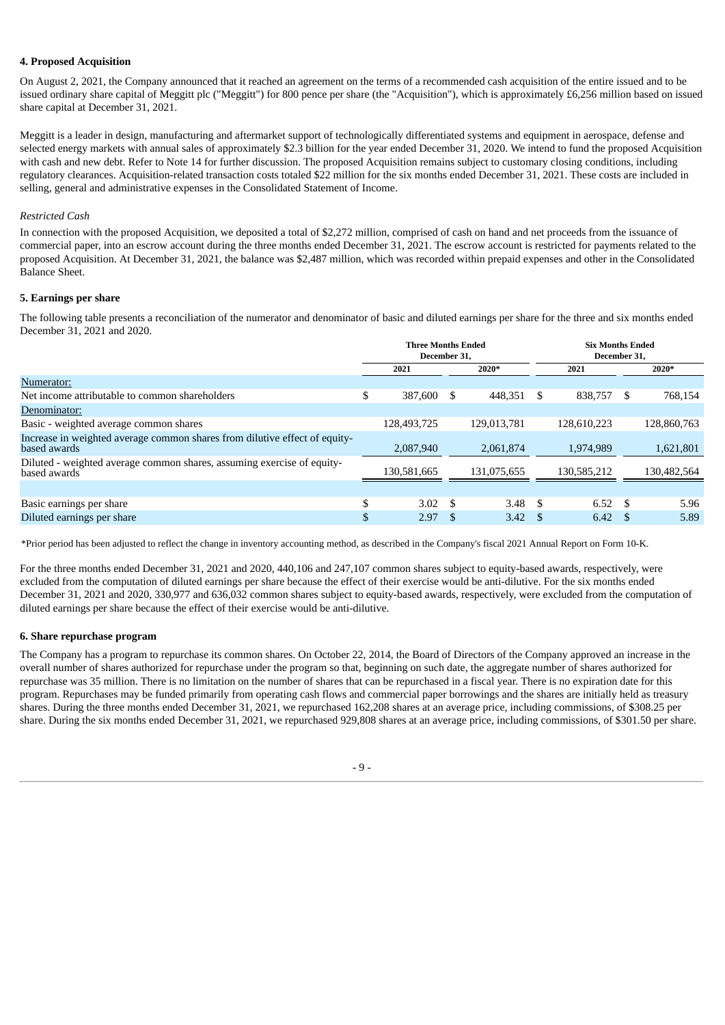#### **4. Proposed Acquisition**

On August 2, 2021, the Company announced that it reached an agreement on the terms of a recommended cash acquisition of the entire issued and to be issued ordinary share capital of Meggitt plc ("Meggitt") for 800 pence per share (the "Acquisition"), which is approximately £6,256 million based on issued share capital at December 31, 2021.

Meggitt is a leader in design, manufacturing and aftermarket support of technologically differentiated systems and equipment in aerospace, defense and selected energy markets with annual sales of approximately \$2.3 billion for the year ended December 31, 2020. We intend to fund the proposed Acquisition with cash and new debt. Refer to Note 14 for further discussion. The proposed Acquisition remains subject to customary closing conditions, including regulatory clearances. Acquisition-related transaction costs totaled \$22 million for the six months ended December 31, 2021. These costs are included in selling, general and administrative expenses in the Consolidated Statement of Income.

#### *Restricted Cash*

In connection with the proposed Acquisition, we deposited a total of \$2,272 million, comprised of cash on hand and net proceeds from the issuance of commercial paper, into an escrow account during the three months ended December 31, 2021. The escrow account is restricted for payments related to the proposed Acquisition. At December 31, 2021, the balance was \$2,487 million, which was recorded within prepaid expenses and other in the Consolidated Balance Sheet.

#### **5. Earnings per share**

The following table presents a reconciliation of the numerator and denominator of basic and diluted earnings per share for the three and six months ended December 31, 2021 and 2020.

|                                                                                            | <b>Three Months Ended</b> |             |     |             |     | <b>Six Months Ended</b> |      |             |  |  |
|--------------------------------------------------------------------------------------------|---------------------------|-------------|-----|-------------|-----|-------------------------|------|-------------|--|--|
|                                                                                            | December 31,              |             |     |             |     | December 31,            |      |             |  |  |
|                                                                                            |                           | 2021        |     | 2020*       |     | 2021                    |      | 2020*       |  |  |
| Numerator:                                                                                 |                           |             |     |             |     |                         |      |             |  |  |
| Net income attributable to common shareholders                                             | \$                        | 387,600     | \$. | 448.351     | £.  | 838,757                 | -S   | 768,154     |  |  |
| Denominator:                                                                               |                           |             |     |             |     |                         |      |             |  |  |
| Basic - weighted average common shares                                                     |                           | 128,493,725 |     | 129,013,781 |     | 128,610,223             |      | 128,860,763 |  |  |
| Increase in weighted average common shares from dilutive effect of equity-<br>based awards |                           | 2,087,940   |     | 2,061,874   |     | 1,974,989               |      | 1,621,801   |  |  |
| Diluted - weighted average common shares, assuming exercise of equity-<br>based awards     |                           | 130,581,665 |     | 131.075.655 |     | 130.585.212             |      | 130,482,564 |  |  |
|                                                                                            |                           |             |     |             |     |                         |      |             |  |  |
| Basic earnings per share                                                                   | \$                        | 3.02        | \$. | 3.48 \$     |     | 6.52                    | - \$ | 5.96        |  |  |
| Diluted earnings per share                                                                 | \$                        | 2.97        | -8  | 3.42        | - 8 | 6.42                    | -8   | 5.89        |  |  |
|                                                                                            |                           |             |     |             |     |                         |      |             |  |  |

\*Prior period has been adjusted to reflect the change in inventory accounting method, as described in the Company's fiscal 2021 Annual Report on Form 10-K.

For the three months ended December 31, 2021 and 2020, 440,106 and 247,107 common shares subject to equity-based awards, respectively, were excluded from the computation of diluted earnings per share because the effect of their exercise would be anti-dilutive. For the six months ended December 31, 2021 and 2020, 330,977 and 636,032 common shares subject to equity-based awards, respectively, were excluded from the computation of diluted earnings per share because the effect of their exercise would be anti-dilutive.

#### **6. Share repurchase program**

The Company has a program to repurchase its common shares. On October 22, 2014, the Board of Directors of the Company approved an increase in the overall number of shares authorized for repurchase under the program so that, beginning on such date, the aggregate number of shares authorized for repurchase was 35 million. There is no limitation on the number of shares that can be repurchased in a fiscal year. There is no expiration date for this program. Repurchases may be funded primarily from operating cash flows and commercial paper borrowings and the shares are initially held as treasury shares. During the three months ended December 31, 2021, we repurchased 162,208 shares at an average price, including commissions, of \$308.25 per share. During the six months ended December 31, 2021, we repurchased 929,808 shares at an average price, including commissions, of \$301.50 per share.

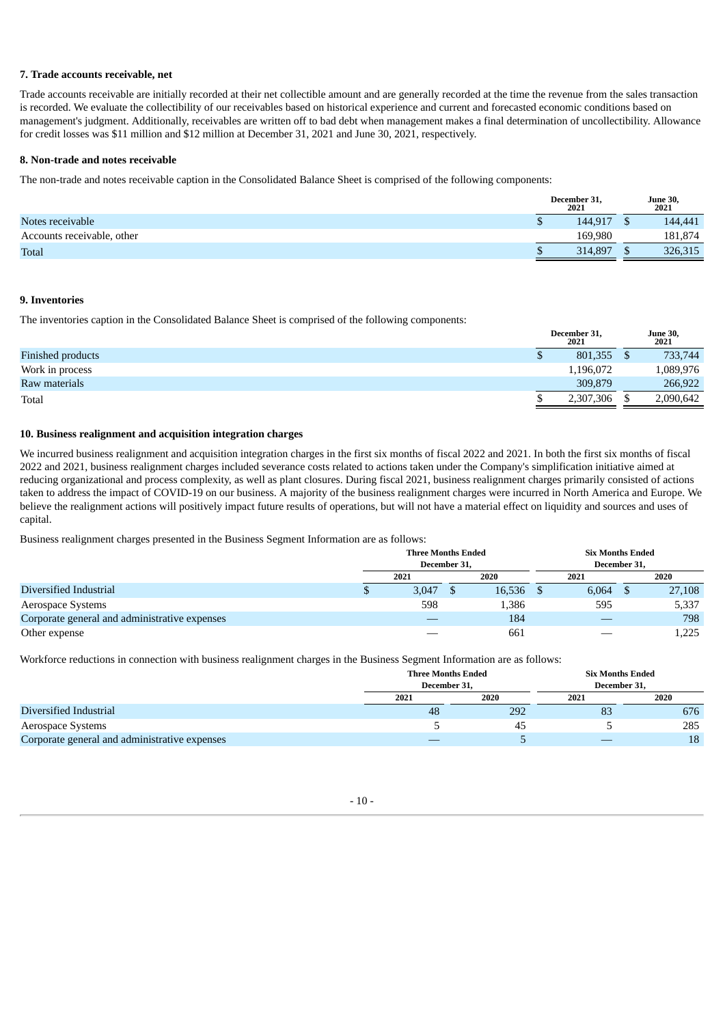#### **7. Trade accounts receivable, net**

Trade accounts receivable are initially recorded at their net collectible amount and are generally recorded at the time the revenue from the sales transaction is recorded. We evaluate the collectibility of our receivables based on historical experience and current and forecasted economic conditions based on management's judgment. Additionally, receivables are written off to bad debt when management makes a final determination of uncollectibility. Allowance for credit losses was \$11 million and \$12 million at December 31, 2021 and June 30, 2021, respectively.

#### **8. Non-trade and notes receivable**

The non-trade and notes receivable caption in the Consolidated Balance Sheet is comprised of the following components:

|                            | December 31,<br>2021 |   | <b>June 30,<br/>2021</b> |  |  |
|----------------------------|----------------------|---|--------------------------|--|--|
| Notes receivable           | 144,917              | ى | 144,441                  |  |  |
| Accounts receivable, other | 169.980              |   | 181,874                  |  |  |
| <b>Total</b>               | 314.897              |   | 326,315                  |  |  |

#### **9. Inventories**

The inventories caption in the Consolidated Balance Sheet is comprised of the following components:

|                          | December 31,<br>2021 | <b>June 30,</b><br>2021 |
|--------------------------|----------------------|-------------------------|
| <b>Finished products</b> | 801.355              | 733,744                 |
| Work in process          | 1,196,072            | 1,089,976               |
| Raw materials            | 309,879              | 266,922                 |
| Total                    | 2.307.306            | 2,090,642               |

#### **10. Business realignment and acquisition integration charges**

We incurred business realignment and acquisition integration charges in the first six months of fiscal 2022 and 2021. In both the first six months of fiscal 2022 and 2021, business realignment charges included severance costs related to actions taken under the Company's simplification initiative aimed at reducing organizational and process complexity, as well as plant closures. During fiscal 2021, business realignment charges primarily consisted of actions taken to address the impact of COVID-19 on our business. A majority of the business realignment charges were incurred in North America and Europe. We believe the realignment actions will positively impact future results of operations, but will not have a material effect on liquidity and sources and uses of capital.

Business realignment charges presented in the Business Segment Information are as follows:

|                                               | <b>Three Months Ended</b> |       |  |           |  | <b>Six Months Ended</b> |  |        |  |  |
|-----------------------------------------------|---------------------------|-------|--|-----------|--|-------------------------|--|--------|--|--|
|                                               | December 31,              |       |  |           |  | December 31,            |  |        |  |  |
|                                               |                           | 2021  |  | 2020      |  | 2021                    |  | 2020   |  |  |
| Diversified Industrial                        |                           | 3,047 |  | 16,536 \$ |  | 6,064                   |  | 27,108 |  |  |
| Aerospace Systems                             |                           | 598   |  | 1,386     |  | 595                     |  | 5,337  |  |  |
| Corporate general and administrative expenses |                           |       |  | 184       |  |                         |  | 798    |  |  |
| Other expense                                 |                           |       |  | 661       |  |                         |  | 1,225  |  |  |

Workforce reductions in connection with business realignment charges in the Business Segment Information are as follows:

|                                               | <b>Three Months Ended</b> |      | <b>Six Months Ended</b> |      |
|-----------------------------------------------|---------------------------|------|-------------------------|------|
|                                               | December 31,              |      | December 31,            |      |
|                                               | 2021                      | 2020 | 2021                    | 2020 |
| Diversified Industrial                        | 48                        | 292  | 83                      | 676  |
| <b>Aerospace Systems</b>                      |                           | 45   |                         | 285  |
| Corporate general and administrative expenses |                           |      |                         | 18   |

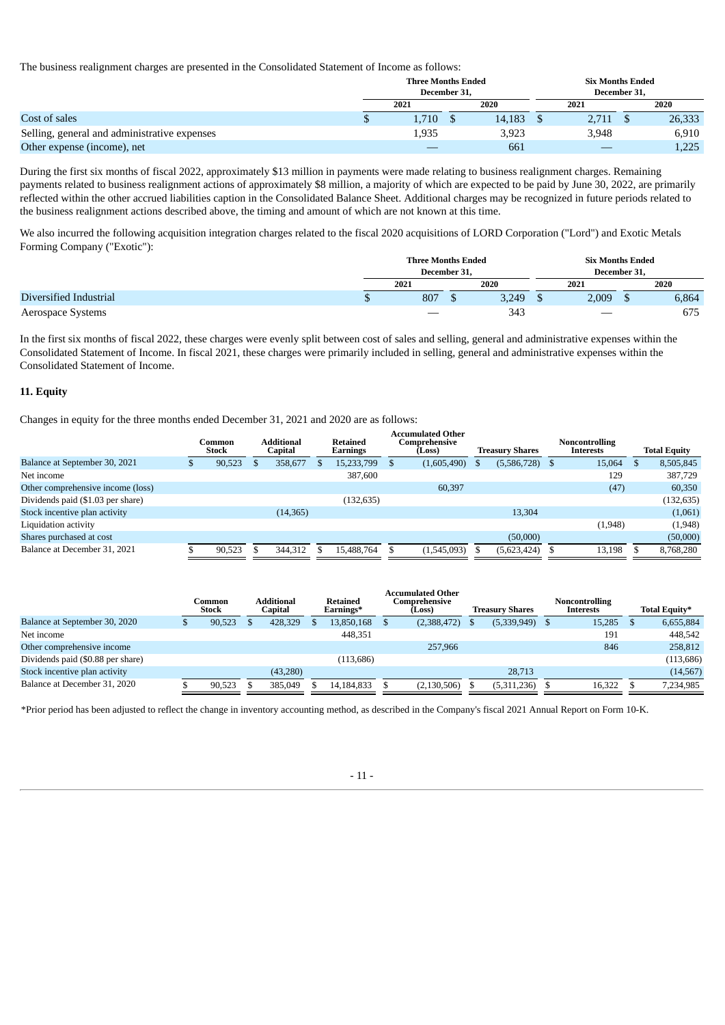The business realignment charges are presented in the Consolidated Statement of Income as follows:

|                                              | <b>Three Months Ended</b> |  |        | <b>Six Months Ended</b> |       |  |        |  |  |  |
|----------------------------------------------|---------------------------|--|--------|-------------------------|-------|--|--------|--|--|--|
|                                              | December 31.              |  |        | December 31,            |       |  |        |  |  |  |
|                                              | 2021                      |  | 2020   |                         | 2021  |  | 2020   |  |  |  |
| Cost of sales                                | 1.710                     |  | 14,183 |                         | 2,711 |  | 26,333 |  |  |  |
| Selling, general and administrative expenses | 1,935                     |  | 3,923  |                         | 3,948 |  | 6,910  |  |  |  |
| Other expense (income), net                  |                           |  | 661    |                         |       |  | 1,225  |  |  |  |

During the first six months of fiscal 2022, approximately \$13 million in payments were made relating to business realignment charges. Remaining payments related to business realignment actions of approximately \$8 million, a majority of which are expected to be paid by June 30, 2022, are primarily reflected within the other accrued liabilities caption in the Consolidated Balance Sheet. Additional charges may be recognized in future periods related to the business realignment actions described above, the timing and amount of which are not known at this time.

We also incurred the following acquisition integration charges related to the fiscal 2020 acquisitions of LORD Corporation ("Lord") and Exotic Metals Forming Company ("Exotic"):

|                        |   | <b>Three Months Ended</b> |  |       |              | <b>Six Months Ended</b> |  |       |  |  |  |  |
|------------------------|---|---------------------------|--|-------|--------------|-------------------------|--|-------|--|--|--|--|
|                        |   | December 31,              |  |       | December 31, |                         |  |       |  |  |  |  |
|                        |   | 2021                      |  | 2020  |              | 2021                    |  | 2020  |  |  |  |  |
| Diversified Industrial | u | 807                       |  | 3,249 |              | 2,009                   |  | 6,864 |  |  |  |  |
| Aerospace Systems      |   |                           |  | 343   |              |                         |  | 675   |  |  |  |  |

In the first six months of fiscal 2022, these charges were evenly split between cost of sales and selling, general and administrative expenses within the Consolidated Statement of Income. In fiscal 2021, these charges were primarily included in selling, general and administrative expenses within the Consolidated Statement of Income.

#### **11. Equity**

Changes in equity for the three months ended December 31, 2021 and 2020 are as follows:

|                                   | Common<br>Stock | <b>Additional</b><br>Capital | <b>Retained</b><br>Earnings | <b>Accumulated Other</b><br>Comprehensive<br>(Loss) | <b>Treasury Shares</b> | <b>Noncontrolling</b><br>Interests |      | <b>Total Equity</b> |
|-----------------------------------|-----------------|------------------------------|-----------------------------|-----------------------------------------------------|------------------------|------------------------------------|------|---------------------|
| Balance at September 30, 2021     | 90.523          | 358,677                      | 15,233,799                  | (1,605,490)                                         | $(5,586,728)$ \$       | 15,064                             | - \$ | 8,505,845           |
| Net income                        |                 |                              | 387,600                     |                                                     |                        | 129                                |      | 387,729             |
| Other comprehensive income (loss) |                 |                              |                             | 60,397                                              |                        | (47)                               |      | 60,350              |
| Dividends paid (\$1.03 per share) |                 |                              | (132, 635)                  |                                                     |                        |                                    |      | (132, 635)          |
| Stock incentive plan activity     |                 | (14, 365)                    |                             |                                                     | 13.304                 |                                    |      | (1,061)             |
| Liquidation activity              |                 |                              |                             |                                                     |                        | (1,948)                            |      | (1,948)             |
| Shares purchased at cost          |                 |                              |                             |                                                     | (50,000)               |                                    |      | (50,000)            |
| Balance at December 31, 2021      | 90.523          | 344,312                      | 15,488,764                  | (1,545,093)                                         | (5,623,424)            | 13,198                             |      | 8,768,280           |

|                                   | Common<br><b>Stock</b> | Additional<br>Capital | Retained<br>Earnings* | <b>Accumulated Other</b><br>Comprehensive<br>(Loss) | Treasurv Shares  | Noncontrolling<br>Interests | Total Equity* |
|-----------------------------------|------------------------|-----------------------|-----------------------|-----------------------------------------------------|------------------|-----------------------------|---------------|
| Balance at September 30, 2020     | 90,523                 | 428,329               | 13.850.168            | (2,388,472)                                         | $(5,339,949)$ \$ | 15,285                      | 6,655,884     |
| Net income                        |                        |                       | 448.351               |                                                     |                  | 191                         | 448,542       |
| Other comprehensive income        |                        |                       |                       | 257,966                                             |                  | 846                         | 258,812       |
| Dividends paid (\$0.88 per share) |                        |                       | (113, 686)            |                                                     |                  |                             | (113, 686)    |
| Stock incentive plan activity     |                        | (43,280)              |                       |                                                     | 28,713           |                             | (14, 567)     |
| Balance at December 31, 2020      | 90.523                 | 385,049               | 14.184.833            | (2, 130, 506)                                       | (5,311,236)      | 16,322                      | 7,234,985     |

\*Prior period has been adjusted to reflect the change in inventory accounting method, as described in the Company's fiscal 2021 Annual Report on Form 10-K.

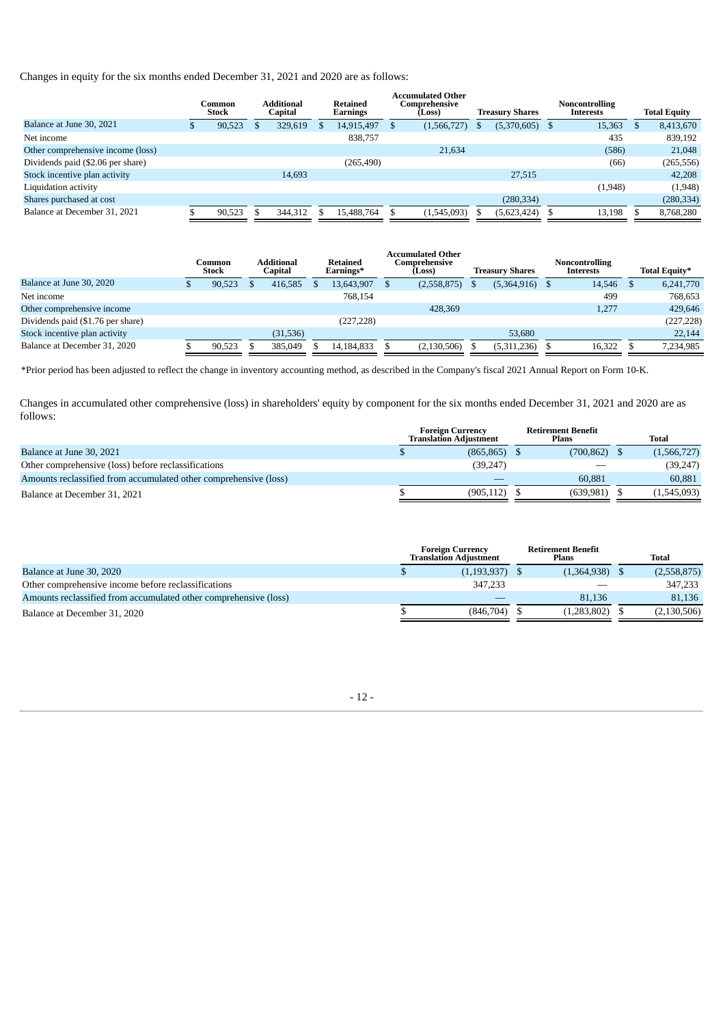Changes in equity for the six months ended December 31, 2021 and 2020 are as follows:

|   | <b>Stock</b> |        | Capital |                   | <b>Retained</b><br>Earnings | Comprehensive<br>(Loss |                          |             |                        | <b>Interests</b> |                       | <b>Total Equity</b> |
|---|--------------|--------|---------|-------------------|-----------------------------|------------------------|--------------------------|-------------|------------------------|------------------|-----------------------|---------------------|
| Ð | 90,523       |        | 329,619 |                   | 14,915,497                  | (1, 566, 727)          | S                        | (5,370,605) | S                      | 15,363           | - 5                   | 8,413,670           |
|   |              |        |         |                   | 838,757                     |                        |                          |             |                        | 435              |                       | 839,192             |
|   |              |        |         |                   |                             | 21.634                 |                          |             |                        | (586)            |                       | 21,048              |
|   |              |        |         |                   | (265, 490)                  |                        |                          |             |                        | (66)             |                       | (265, 556)          |
|   |              |        | 14,693  |                   |                             |                        |                          | 27.515      |                        |                  |                       | 42,208              |
|   |              |        |         |                   |                             |                        |                          |             |                        | (1,948)          |                       | (1,948)             |
|   |              |        |         |                   |                             |                        |                          | (280, 334)  |                        |                  |                       | (280, 334)          |
|   | 90.523       |        | 344,312 |                   | 15,488,764                  | (1,545,093)            |                          | (5,623,424) |                        | 13,198           |                       | 8,768,280           |
|   |              | Common |         | <b>Additional</b> |                             |                        | <b>Accumulated Other</b> |             | <b>Treasury Shares</b> |                  | <b>Noncontrolling</b> |                     |

|                                   | Common<br>Stock | <b>Additional</b><br>Capital | Retained<br>Earnings* | Accumulated Other<br>Comprehensive<br>(Loss) | <b>Treasury Shares</b> | Noncontrolling<br>Interests | Total Equity* |
|-----------------------------------|-----------------|------------------------------|-----------------------|----------------------------------------------|------------------------|-----------------------------|---------------|
| Balance at June 30, 2020          | 90.523          | 416,585                      | 13.643.907            | (2,558,875)                                  | $(5,364,916)$ \$       | 14,546                      | 6,241,770     |
| Net income                        |                 |                              | 768.154               |                                              |                        | 499                         | 768,653       |
| Other comprehensive income        |                 |                              |                       | 428,369                                      |                        | 1,277                       | 429,646       |
| Dividends paid (\$1.76 per share) |                 |                              | (227, 228)            |                                              |                        |                             | (227, 228)    |
| Stock incentive plan activity     |                 | (31, 536)                    |                       |                                              | 53,680                 |                             | 22,144        |
| Balance at December 31, 2020      | 90,523          | 385,049                      | 14,184,833            | (2, 130, 506)                                | $(5,311,236)$ \$       | 16,322                      | 7,234,985     |

\*Prior period has been adjusted to reflect the change in inventory accounting method, as described in the Company's fiscal 2021 Annual Report on Form 10-K.

Changes in accumulated other comprehensive (loss) in shareholders' equity by component for the six months ended December 31, 2021 and 2020 are as follows:

|                                                                  | Foreign Currency<br><b>Translation Adiustment</b> | <b>Retirement Benefit</b><br>Plans | <b>Total</b> |
|------------------------------------------------------------------|---------------------------------------------------|------------------------------------|--------------|
| Balance at June 30, 2021                                         | $(865, 865)$ \$                                   | (700.862)                          | (1,566,727)  |
| Other comprehensive (loss) before reclassifications              | (39, 247)                                         |                                    | (39, 247)    |
| Amounts reclassified from accumulated other comprehensive (loss) |                                                   | 60.881                             | 60.881       |
| Balance at December 31, 2021                                     | (905, 112)                                        | (639.981)                          | (1,545,093)  |

|                                                                  | Foreign Currency<br><b>Translation Adiustment</b> | <b>Retirement Benefit</b><br>Plans | <b>Total</b>  |
|------------------------------------------------------------------|---------------------------------------------------|------------------------------------|---------------|
| Balance at June 30, 2020                                         | $(1,193,937)$ \$                                  | (1,364,938)                        | (2,558,875)   |
| Other comprehensive income before reclassifications              | 347,233                                           |                                    | 347,233       |
| Amounts reclassified from accumulated other comprehensive (loss) | _                                                 | 81.136                             | 81,136        |
| Balance at December 31, 2020                                     | (846,704)                                         | (1.283.802)                        | (2, 130, 506) |

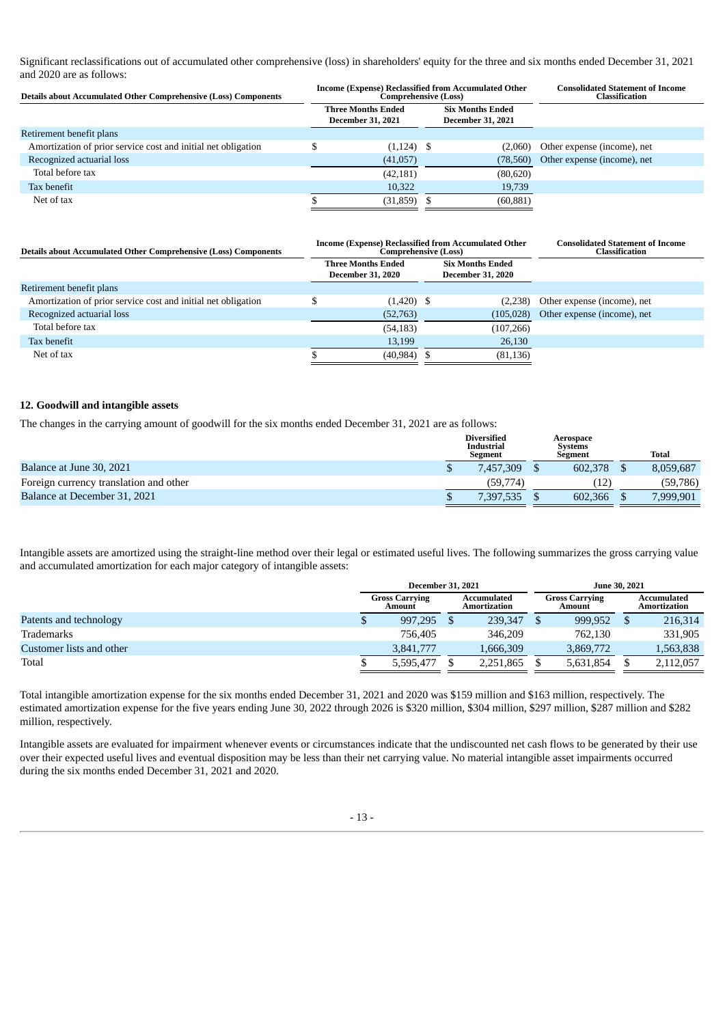Significant reclassifications out of accumulated other comprehensive (loss) in shareholders' equity for the three and six months ended December 31, 2021 and 2020 are as follows:

| <b>Details about Accumulated Other Comprehensive (Loss) Components</b> | <b>Consolidated Statement of Income</b><br><b>Classification</b> |                                                     |                             |
|------------------------------------------------------------------------|------------------------------------------------------------------|-----------------------------------------------------|-----------------------------|
|                                                                        | <b>Three Months Ended</b><br><b>December 31, 2021</b>            | <b>Six Months Ended</b><br><b>December 31, 2021</b> |                             |
| Retirement benefit plans                                               |                                                                  |                                                     |                             |
| Amortization of prior service cost and initial net obligation          | $(1,124)$ \$                                                     | (2.060)                                             | Other expense (income), net |
| Recognized actuarial loss                                              | (41,057)                                                         | (78, 560)                                           | Other expense (income), net |
| Total before tax                                                       | (42, 181)                                                        | (80,620)                                            |                             |
| Tax benefit                                                            | 10,322                                                           | 19,739                                              |                             |
| Net of tax                                                             | $(31,859)$ \$                                                    | (60, 881)                                           |                             |

| <b>Details about Accumulated Other Comprehensive (Loss) Components</b> | <b>Income (Expense) Reclassified from Accumulated Other</b><br>Comprehensive (Loss) |  |                         | <b>Consolidated Statement of Income</b><br><b>Classification</b> |
|------------------------------------------------------------------------|-------------------------------------------------------------------------------------|--|-------------------------|------------------------------------------------------------------|
|                                                                        | <b>Three Months Ended</b>                                                           |  | <b>Six Months Ended</b> |                                                                  |
|                                                                        | <b>December 31, 2020</b><br><b>December 31, 2020</b>                                |  |                         |                                                                  |
| Retirement benefit plans                                               |                                                                                     |  |                         |                                                                  |
| Amortization of prior service cost and initial net obligation          | $(1,420)$ \$                                                                        |  | (2.238)                 | Other expense (income), net                                      |
| Recognized actuarial loss                                              | (52,763)                                                                            |  | (105, 028)              | Other expense (income), net                                      |
| Total before tax                                                       | (54, 183)                                                                           |  | (107, 266)              |                                                                  |
| Tax benefit                                                            | 13,199                                                                              |  | 26,130                  |                                                                  |
| Net of tax                                                             | $(40,984)$ \$                                                                       |  | (81, 136)               |                                                                  |

#### **12. Goodwill and intangible assets**

The changes in the carrying amount of goodwill for the six months ended December 31, 2021 are as follows:

|                                        | <b>Diversified</b><br>Industrial<br>Segment | Aerospace<br><b>Systems</b><br>Segment | Total     |
|----------------------------------------|---------------------------------------------|----------------------------------------|-----------|
| Balance at June 30, 2021               | 7.457.309                                   | 602,378                                | 8,059,687 |
| Foreign currency translation and other | (59,774)                                    | (12)                                   | (59,786)  |
| Balance at December 31, 2021           | 7,397,535                                   | 602.366                                | 7,999,901 |

Intangible assets are amortized using the straight-line method over their legal or estimated useful lives. The following summarizes the gross carrying value and accumulated amortization for each major category of intangible assets:

|                          | <b>December 31, 2021</b> |                                 |  |                             | <b>June 30, 2021</b> |                                 |  |                             |
|--------------------------|--------------------------|---------------------------------|--|-----------------------------|----------------------|---------------------------------|--|-----------------------------|
|                          |                          | <b>Gross Carrying</b><br>Amount |  | Accumulated<br>Amortization |                      | <b>Gross Carrying</b><br>Amount |  | Accumulated<br>Amortization |
| Patents and technology   |                          | 997,295                         |  | 239.347                     |                      | 999,952                         |  | 216,314                     |
| Trademarks               |                          | 756,405                         |  | 346,209                     |                      | 762.130                         |  | 331,905                     |
| Customer lists and other |                          | 3,841,777                       |  | 1,666,309                   |                      | 3,869,772                       |  | 1,563,838                   |
| Total                    |                          | 5,595,477                       |  | 2,251,865                   |                      | 5,631,854                       |  | 2,112,057                   |

Total intangible amortization expense for the six months ended December 31, 2021 and 2020 was \$159 million and \$163 million, respectively. The estimated amortization expense for the five years ending June 30, 2022 through 2026 is \$320 million, \$304 million, \$297 million, \$287 million and \$282 million, respectively.

Intangible assets are evaluated for impairment whenever events or circumstances indicate that the undiscounted net cash flows to be generated by their use over their expected useful lives and eventual disposition may be less than their net carrying value. No material intangible asset impairments occurred during the six months ended December 31, 2021 and 2020.

- 13 -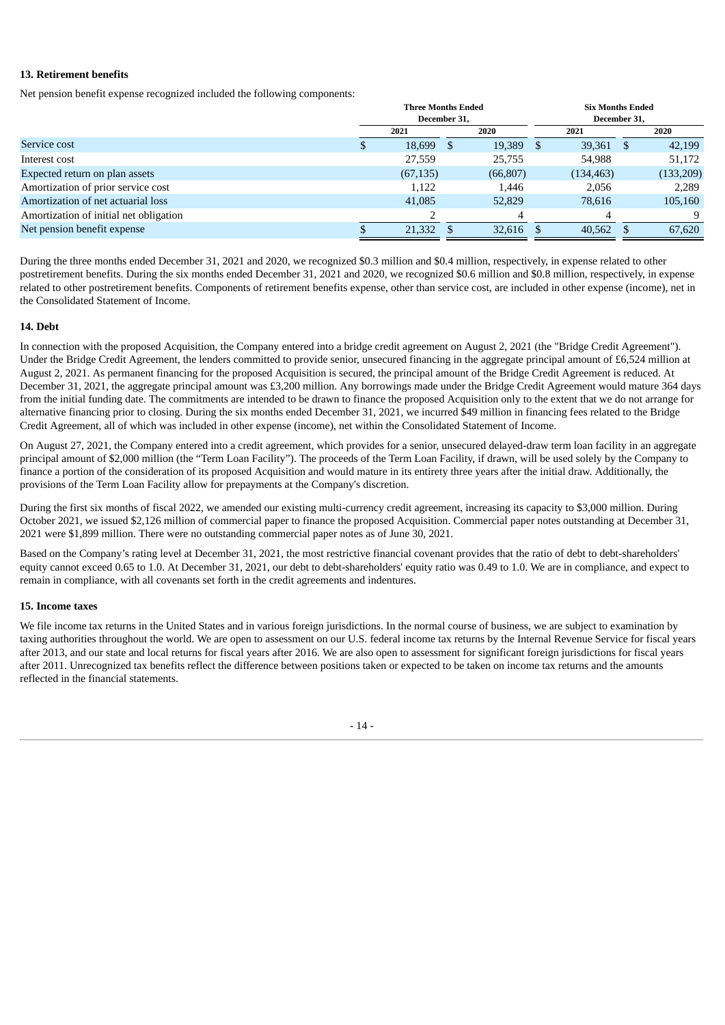### **13. Retirement benefits**

Net pension benefit expense recognized included the following components:

|  |           |   |           | <b>Six Months Ended</b>                   |            |    |              |
|--|-----------|---|-----------|-------------------------------------------|------------|----|--------------|
|  | 2021      |   | 2020      |                                           | 2021       |    | 2020         |
|  | 18,699    | D | 19,389    |                                           | 39,361     | -S | 42,199       |
|  | 27,559    |   | 25,755    |                                           | 54,988     |    | 51,172       |
|  | (67, 135) |   | (66, 807) |                                           | (134, 463) |    | (133,209)    |
|  | 1,122     |   | 1,446     |                                           | 2,056      |    | 2,289        |
|  | 41,085    |   | 52,829    |                                           | 78,616     |    | 105,160      |
|  |           |   | 4         |                                           | 4          |    | 9            |
|  | 21,332    |   | 32,616    |                                           | 40,562     |    | 67,620       |
|  |           |   |           | <b>Three Months Ended</b><br>December 31, | - \$       |    | December 31, |

During the three months ended December 31, 2021 and 2020, we recognized \$0.3 million and \$0.4 million, respectively, in expense related to other postretirement benefits. During the six months ended December 31, 2021 and 2020, we recognized \$0.6 million and \$0.8 million, respectively, in expense related to other postretirement benefits. Components of retirement benefits expense, other than service cost, are included in other expense (income), net in the Consolidated Statement of Income.

#### **14. Debt**

In connection with the proposed Acquisition, the Company entered into a bridge credit agreement on August 2, 2021 (the "Bridge Credit Agreement"). Under the Bridge Credit Agreement, the lenders committed to provide senior, unsecured financing in the aggregate principal amount of £6,524 million at August 2, 2021. As permanent financing for the proposed Acquisition is secured, the principal amount of the Bridge Credit Agreement is reduced. At December 31, 2021, the aggregate principal amount was £3,200 million. Any borrowings made under the Bridge Credit Agreement would mature 364 days from the initial funding date. The commitments are intended to be drawn to finance the proposed Acquisition only to the extent that we do not arrange for alternative financing prior to closing. During the six months ended December 31, 2021, we incurred \$49 million in financing fees related to the Bridge Credit Agreement, all of which was included in other expense (income), net within the Consolidated Statement of Income.

On August 27, 2021, the Company entered into a credit agreement, which provides for a senior, unsecured delayed-draw term loan facility in an aggregate principal amount of \$2,000 million (the "Term Loan Facility"). The proceeds of the Term Loan Facility, if drawn, will be used solely by the Company to finance a portion of the consideration of its proposed Acquisition and would mature in its entirety three years after the initial draw. Additionally, the provisions of the Term Loan Facility allow for prepayments at the Company's discretion.

During the first six months of fiscal 2022, we amended our existing multi-currency credit agreement, increasing its capacity to \$3,000 million. During October 2021, we issued \$2,126 million of commercial paper to finance the proposed Acquisition. Commercial paper notes outstanding at December 31, 2021 were \$1,899 million. There were no outstanding commercial paper notes as of June 30, 2021.

Based on the Company's rating level at December 31, 2021, the most restrictive financial covenant provides that the ratio of debt to debt-shareholders' equity cannot exceed 0.65 to 1.0. At December 31, 2021, our debt to debt-shareholders' equity ratio was 0.49 to 1.0. We are in compliance, and expect to remain in compliance, with all covenants set forth in the credit agreements and indentures.

### **15. Income taxes**

We file income tax returns in the United States and in various foreign jurisdictions. In the normal course of business, we are subject to examination by taxing authorities throughout the world. We are open to assessment on our U.S. federal income tax returns by the Internal Revenue Service for fiscal years after 2013, and our state and local returns for fiscal years after 2016. We are also open to assessment for significant foreign jurisdictions for fiscal years after 2011. Unrecognized tax benefits reflect the difference between positions taken or expected to be taken on income tax returns and the amounts reflected in the financial statements.

 $-14-$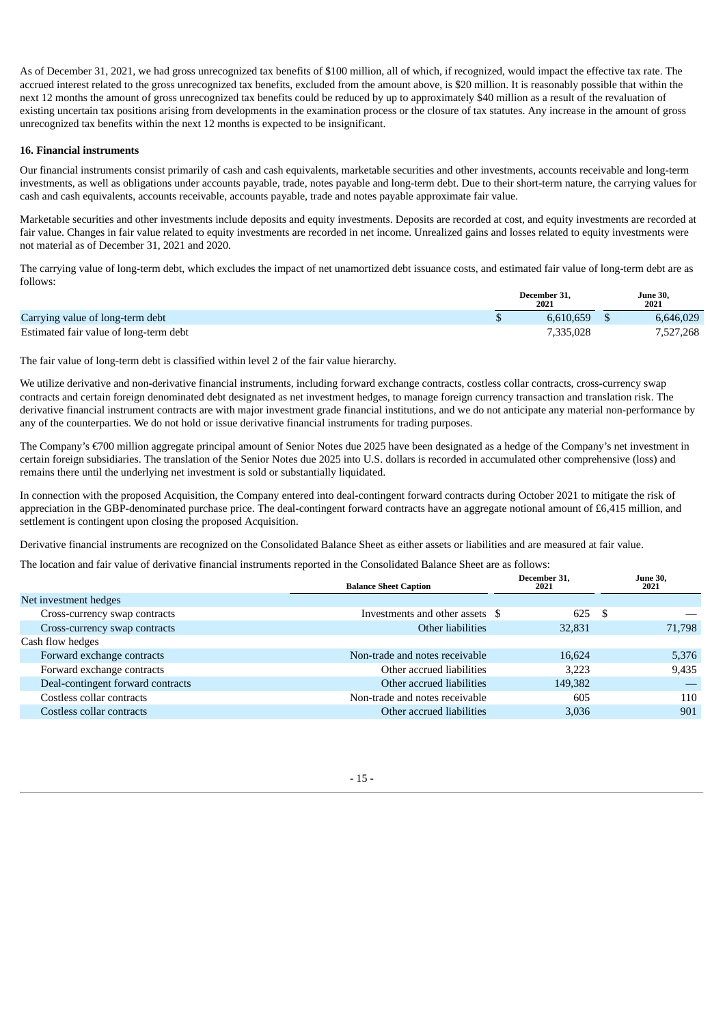As of December 31, 2021, we had gross unrecognized tax benefits of \$100 million, all of which, if recognized, would impact the effective tax rate. The accrued interest related to the gross unrecognized tax benefits, excluded from the amount above, is \$20 million. It is reasonably possible that within the next 12 months the amount of gross unrecognized tax benefits could be reduced by up to approximately \$40 million as a result of the revaluation of existing uncertain tax positions arising from developments in the examination process or the closure of tax statutes. Any increase in the amount of gross unrecognized tax benefits within the next 12 months is expected to be insignificant.

#### **16. Financial instruments**

Our financial instruments consist primarily of cash and cash equivalents, marketable securities and other investments, accounts receivable and long-term investments, as well as obligations under accounts payable, trade, notes payable and long-term debt. Due to their short-term nature, the carrying values for cash and cash equivalents, accounts receivable, accounts payable, trade and notes payable approximate fair value.

Marketable securities and other investments include deposits and equity investments. Deposits are recorded at cost, and equity investments are recorded at fair value. Changes in fair value related to equity investments are recorded in net income. Unrealized gains and losses related to equity investments were not material as of December 31, 2021 and 2020.

The carrying value of long-term debt, which excludes the impact of net unamortized debt issuance costs, and estimated fair value of long-term debt are as follows:

|                                        | December 31.<br>2021 | <b>June 30,</b><br>2021 |
|----------------------------------------|----------------------|-------------------------|
| Carrying value of long-term debt       | 6.610.659            | 6,646,029               |
| Estimated fair value of long-term debt | 7.335.028            | 7,527,268               |

The fair value of long-term debt is classified within level 2 of the fair value hierarchy.

We utilize derivative and non-derivative financial instruments, including forward exchange contracts, costless collar contracts, cross-currency swap contracts and certain foreign denominated debt designated as net investment hedges, to manage foreign currency transaction and translation risk. The derivative financial instrument contracts are with major investment grade financial institutions, and we do not anticipate any material non-performance by any of the counterparties. We do not hold or issue derivative financial instruments for trading purposes.

The Company's €700 million aggregate principal amount of Senior Notes due 2025 have been designated as a hedge of the Company's net investment in certain foreign subsidiaries. The translation of the Senior Notes due 2025 into U.S. dollars is recorded in accumulated other comprehensive (loss) and remains there until the underlying net investment is sold or substantially liquidated.

In connection with the proposed Acquisition, the Company entered into deal-contingent forward contracts during October 2021 to mitigate the risk of appreciation in the GBP-denominated purchase price. The deal-contingent forward contracts have an aggregate notional amount of £6,415 million, and settlement is contingent upon closing the proposed Acquisition.

Derivative financial instruments are recognized on the Consolidated Balance Sheet as either assets or liabilities and are measured at fair value.

The location and fair value of derivative financial instruments reported in the Consolidated Balance Sheet are as follows:

|                                   | <b>Balance Sheet Caption</b>          | December 31,<br>2021 | <b>June 30,</b><br>2021 |
|-----------------------------------|---------------------------------------|----------------------|-------------------------|
| Net investment hedges             |                                       |                      |                         |
| Cross-currency swap contracts     | Investments and other assets \, \, \, | $625 \quad$ \$       |                         |
| Cross-currency swap contracts     | Other liabilities                     | 32,831               | 71,798                  |
| Cash flow hedges                  |                                       |                      |                         |
| Forward exchange contracts        | Non-trade and notes receivable        | 16.624               | 5,376                   |
| Forward exchange contracts        | Other accrued liabilities             | 3.223                | 9,435                   |
| Deal-contingent forward contracts | Other accrued liabilities             | 149,382              |                         |
| Costless collar contracts         | Non-trade and notes receivable        | 605                  | 110                     |
| Costless collar contracts         | Other accrued liabilities             | 3.036                | 901                     |
|                                   |                                       |                      |                         |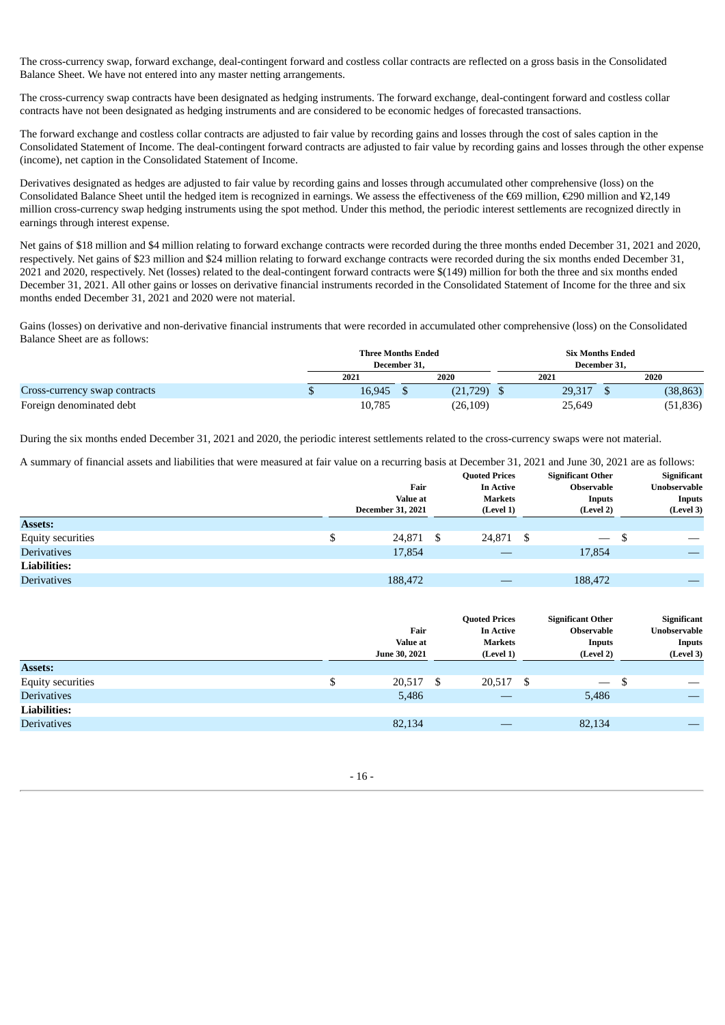The cross-currency swap, forward exchange, deal-contingent forward and costless collar contracts are reflected on a gross basis in the Consolidated Balance Sheet. We have not entered into any master netting arrangements.

The cross-currency swap contracts have been designated as hedging instruments. The forward exchange, deal-contingent forward and costless collar contracts have not been designated as hedging instruments and are considered to be economic hedges of forecasted transactions.

The forward exchange and costless collar contracts are adjusted to fair value by recording gains and losses through the cost of sales caption in the Consolidated Statement of Income. The deal-contingent forward contracts are adjusted to fair value by recording gains and losses through the other expense (income), net caption in the Consolidated Statement of Income.

Derivatives designated as hedges are adjusted to fair value by recording gains and losses through accumulated other comprehensive (loss) on the Consolidated Balance Sheet until the hedged item is recognized in earnings. We assess the effectiveness of the €69 million, €290 million and ¥2,149 million cross-currency swap hedging instruments using the spot method. Under this method, the periodic interest settlements are recognized directly in earnings through interest expense.

Net gains of \$18 million and \$4 million relating to forward exchange contracts were recorded during the three months ended December 31, 2021 and 2020, respectively. Net gains of \$23 million and \$24 million relating to forward exchange contracts were recorded during the six months ended December 31, 2021 and 2020, respectively. Net (losses) related to the deal-contingent forward contracts were \$(149) million for both the three and six months ended December 31, 2021. All other gains or losses on derivative financial instruments recorded in the Consolidated Statement of Income for the three and six months ended December 31, 2021 and 2020 were not material.

Gains (losses) on derivative and non-derivative financial instruments that were recorded in accumulated other comprehensive (loss) on the Consolidated Balance Sheet are as follows:

|                               |      | <b>Three Months Ended</b> |  |           |  | <b>Six Months Ended</b> |              |           |
|-------------------------------|------|---------------------------|--|-----------|--|-------------------------|--------------|-----------|
|                               |      | December 31.              |  |           |  |                         | December 31, |           |
|                               | 2021 | 2020                      |  |           |  | 2021                    |              | 2020      |
| Cross-currency swap contracts |      | 16.945                    |  | (21, 729) |  | 29,317                  |              | (38, 863) |
| Foreign denominated debt      |      | 10,785                    |  | (26, 109) |  | 25,649                  |              | (51, 836) |

During the six months ended December 31, 2021 and 2020, the periodic interest settlements related to the cross-currency swaps were not material.

A summary of financial assets and liabilities that were measured at fair value on a recurring basis at December 31, 2021 and June 30, 2021 are as follows:

| . .                      | $\tilde{}$               |                  |                      |      |                          |   |                     |
|--------------------------|--------------------------|------------------|----------------------|------|--------------------------|---|---------------------|
|                          |                          |                  | <b>Quoted Prices</b> |      | <b>Significant Other</b> |   | <b>Significant</b>  |
|                          | Fair                     | <b>In Active</b> |                      |      | <b>Observable</b>        |   | <b>Unobservable</b> |
|                          | Value at                 |                  | Markets              |      | <b>Inputs</b>            |   | <b>Inputs</b>       |
|                          | <b>December 31, 2021</b> |                  | (Level 1)            |      | (Level 2)                |   | (Level 3)           |
| <b>Assets:</b>           |                          |                  |                      |      |                          |   |                     |
| <b>Equity securities</b> | \$<br>24,871 \$          |                  | 24,871               | - \$ |                          | ಾ |                     |
| <b>Derivatives</b>       | 17,854                   |                  |                      |      | 17,854                   |   |                     |
| <b>Liabilities:</b>      |                          |                  |                      |      |                          |   |                     |
| <b>Derivatives</b>       | 188,472                  |                  |                      |      | 188,472                  |   |                     |
|                          |                          |                  |                      |      |                          |   |                     |

| <b>Assets:</b>           | Fair<br>Value at<br>June 30, 2021 | <b>Quoted Prices</b><br><b>In Active</b><br><b>Markets</b><br>(Level 1) |    | <b>Significant Other</b><br><b>Observable</b><br><b>Inputs</b><br>(Level 2) |          | <b>Significant</b><br><b>Unobservable</b><br><b>Inputs</b><br>(Level 3) |
|--------------------------|-----------------------------------|-------------------------------------------------------------------------|----|-----------------------------------------------------------------------------|----------|-------------------------------------------------------------------------|
| <b>Equity securities</b> | \$<br>20,517                      | - \$<br>20,517                                                          | -S | $\overline{\phantom{a}}$                                                    | <u>ъ</u> |                                                                         |
| <b>Derivatives</b>       | 5,486                             |                                                                         |    | 5,486                                                                       |          |                                                                         |
| <b>Liabilities:</b>      |                                   |                                                                         |    |                                                                             |          |                                                                         |
| <b>Derivatives</b>       | 82,134                            |                                                                         |    | 82,134                                                                      |          |                                                                         |
|                          |                                   |                                                                         |    |                                                                             |          |                                                                         |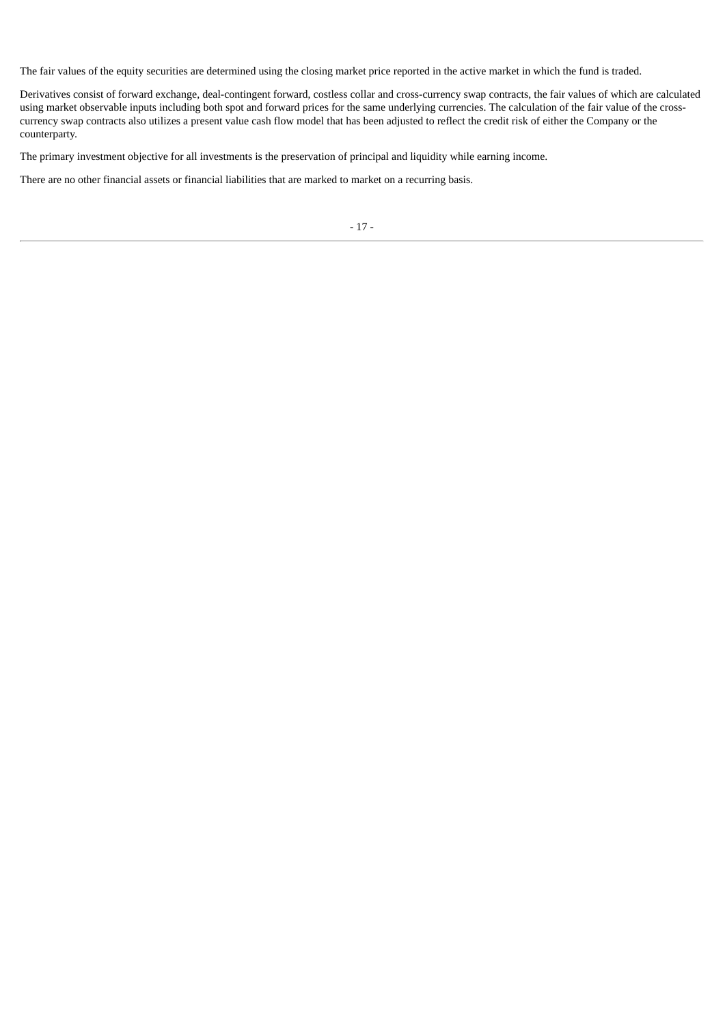The fair values of the equity securities are determined using the closing market price reported in the active market in which the fund is traded.

Derivatives consist of forward exchange, deal-contingent forward, costless collar and cross-currency swap contracts, the fair values of which are calculated using market observable inputs including both spot and forward prices for the same underlying currencies. The calculation of the fair value of the crosscurrency swap contracts also utilizes a present value cash flow model that has been adjusted to reflect the credit risk of either the Company or the counterparty.

The primary investment objective for all investments is the preservation of principal and liquidity while earning income.

There are no other financial assets or financial liabilities that are marked to market on a recurring basis.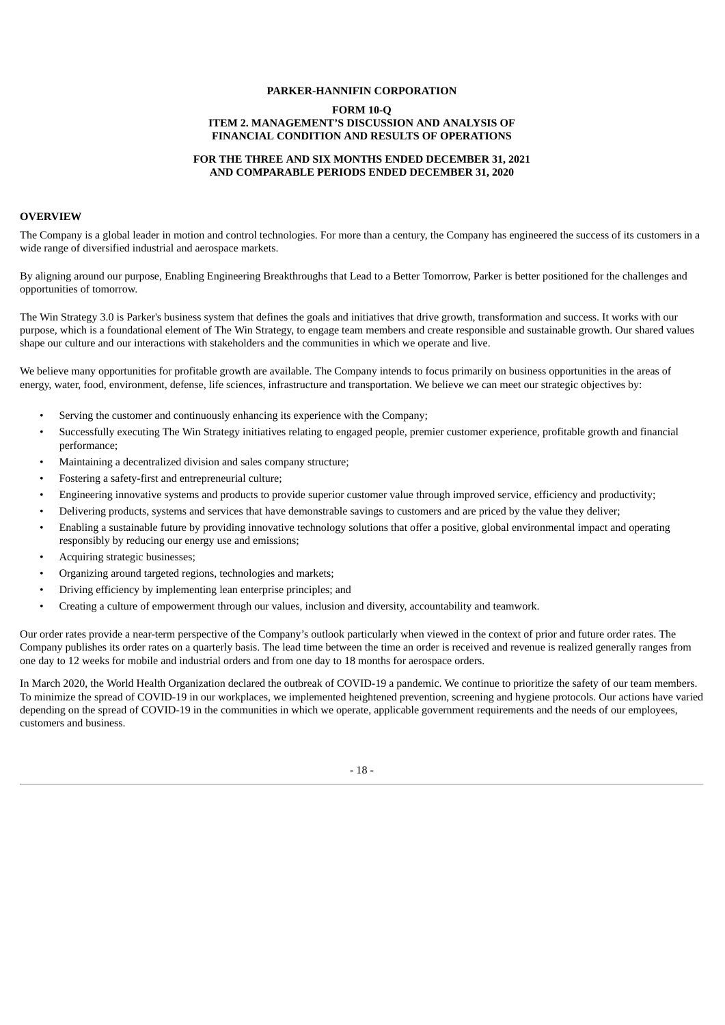#### **FORM 10-Q ITEM 2. MANAGEMENT'S DISCUSSION AND ANALYSIS OF FINANCIAL CONDITION AND RESULTS OF OPERATIONS**

### **FOR THE THREE AND SIX MONTHS ENDED DECEMBER 31, 2021 AND COMPARABLE PERIODS ENDED DECEMBER 31, 2020**

#### **OVERVIEW**

The Company is a global leader in motion and control technologies. For more than a century, the Company has engineered the success of its customers in a wide range of diversified industrial and aerospace markets.

By aligning around our purpose, Enabling Engineering Breakthroughs that Lead to a Better Tomorrow, Parker is better positioned for the challenges and opportunities of tomorrow.

The Win Strategy 3.0 is Parker's business system that defines the goals and initiatives that drive growth, transformation and success. It works with our purpose, which is a foundational element of The Win Strategy, to engage team members and create responsible and sustainable growth. Our shared values shape our culture and our interactions with stakeholders and the communities in which we operate and live.

We believe many opportunities for profitable growth are available. The Company intends to focus primarily on business opportunities in the areas of energy, water, food, environment, defense, life sciences, infrastructure and transportation. We believe we can meet our strategic objectives by:

- Serving the customer and continuously enhancing its experience with the Company;
- Successfully executing The Win Strategy initiatives relating to engaged people, premier customer experience, profitable growth and financial performance;
- Maintaining a decentralized division and sales company structure;
- Fostering a safety-first and entrepreneurial culture;
- Engineering innovative systems and products to provide superior customer value through improved service, efficiency and productivity;
- Delivering products, systems and services that have demonstrable savings to customers and are priced by the value they deliver;
- Enabling a sustainable future by providing innovative technology solutions that offer a positive, global environmental impact and operating responsibly by reducing our energy use and emissions;
- Acquiring strategic businesses;
- Organizing around targeted regions, technologies and markets;
- Driving efficiency by implementing lean enterprise principles; and
- Creating a culture of empowerment through our values, inclusion and diversity, accountability and teamwork.

Our order rates provide a near-term perspective of the Company's outlook particularly when viewed in the context of prior and future order rates. The Company publishes its order rates on a quarterly basis. The lead time between the time an order is received and revenue is realized generally ranges from one day to 12 weeks for mobile and industrial orders and from one day to 18 months for aerospace orders.

In March 2020, the World Health Organization declared the outbreak of COVID-19 a pandemic. We continue to prioritize the safety of our team members. To minimize the spread of COVID-19 in our workplaces, we implemented heightened prevention, screening and hygiene protocols. Our actions have varied depending on the spread of COVID-19 in the communities in which we operate, applicable government requirements and the needs of our employees, customers and business.

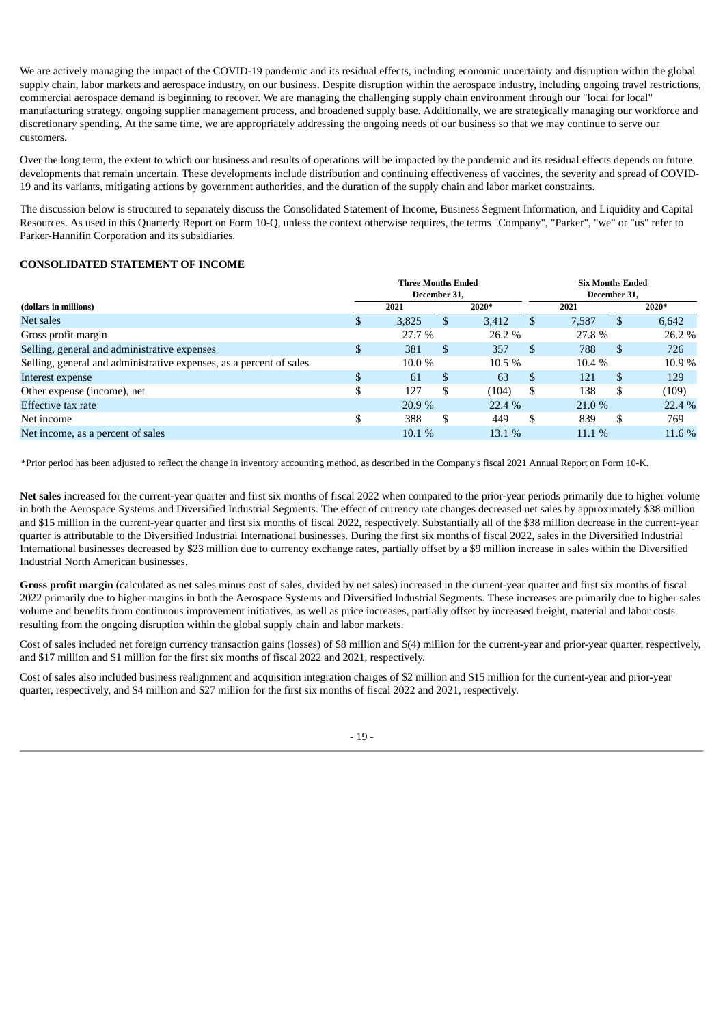We are actively managing the impact of the COVID-19 pandemic and its residual effects, including economic uncertainty and disruption within the global supply chain, labor markets and aerospace industry, on our business. Despite disruption within the aerospace industry, including ongoing travel restrictions, commercial aerospace demand is beginning to recover. We are managing the challenging supply chain environment through our "local for local" manufacturing strategy, ongoing supplier management process, and broadened supply base. Additionally, we are strategically managing our workforce and discretionary spending. At the same time, we are appropriately addressing the ongoing needs of our business so that we may continue to serve our customers.

Over the long term, the extent to which our business and results of operations will be impacted by the pandemic and its residual effects depends on future developments that remain uncertain. These developments include distribution and continuing effectiveness of vaccines, the severity and spread of COVID-19 and its variants, mitigating actions by government authorities, and the duration of the supply chain and labor market constraints.

The discussion below is structured to separately discuss the Consolidated Statement of Income, Business Segment Information, and Liquidity and Capital Resources. As used in this Quarterly Report on Form 10-Q, unless the context otherwise requires, the terms "Company", "Parker", "we" or "us" refer to Parker-Hannifin Corporation and its subsidiaries.

#### **CONSOLIDATED STATEMENT OF INCOME**

|                                                                     |    | <b>Three Months Ended</b><br>December 31, |               |        | <b>Six Months Ended</b><br>December 31. |        |    |        |  |
|---------------------------------------------------------------------|----|-------------------------------------------|---------------|--------|-----------------------------------------|--------|----|--------|--|
| (dollars in millions)                                               |    | 2021                                      |               | 2020*  |                                         | 2021   |    | 2020*  |  |
| Net sales                                                           |    | 3.825                                     | S             | 3.412  | \$.                                     | 7.587  | \$ | 6,642  |  |
| Gross profit margin                                                 |    | 27.7 %                                    |               | 26.2 % |                                         | 27.8 % |    | 26.2 % |  |
| Selling, general and administrative expenses                        | D  | 381                                       | <sup>\$</sup> | 357    | <sup>\$</sup>                           | 788    | \$ | 726    |  |
| Selling, general and administrative expenses, as a percent of sales |    | 10.0 %                                    |               | 10.5 % |                                         | 10.4 % |    | 10.9%  |  |
| Interest expense                                                    | \$ | 61                                        | -S            | 63     | S.                                      | 121    | S  | 129    |  |
| Other expense (income), net                                         |    | 127                                       | S             | (104)  | S                                       | 138    | S  | (109)  |  |
| Effective tax rate                                                  |    | 20.9 %                                    |               | 22.4 % |                                         | 21.0 % |    | 22.4 % |  |
| Net income                                                          |    | 388                                       | S             | 449    | S                                       | 839    | \$ | 769    |  |
| Net income, as a percent of sales                                   |    | 10.1 %                                    |               | 13.1 % |                                         | 11.1 % |    | 11.6 % |  |

\*Prior period has been adjusted to reflect the change in inventory accounting method, as described in the Company's fiscal 2021 Annual Report on Form 10-K.

**Net sales** increased for the current-year quarter and first six months of fiscal 2022 when compared to the prior-year periods primarily due to higher volume in both the Aerospace Systems and Diversified Industrial Segments. The effect of currency rate changes decreased net sales by approximately \$38 million and \$15 million in the current-year quarter and first six months of fiscal 2022, respectively. Substantially all of the \$38 million decrease in the current-year quarter is attributable to the Diversified Industrial International businesses. During the first six months of fiscal 2022, sales in the Diversified Industrial International businesses decreased by \$23 million due to currency exchange rates, partially offset by a \$9 million increase in sales within the Diversified Industrial North American businesses.

**Gross profit margin** (calculated as net sales minus cost of sales, divided by net sales) increased in the current-year quarter and first six months of fiscal 2022 primarily due to higher margins in both the Aerospace Systems and Diversified Industrial Segments. These increases are primarily due to higher sales volume and benefits from continuous improvement initiatives, as well as price increases, partially offset by increased freight, material and labor costs resulting from the ongoing disruption within the global supply chain and labor markets.

Cost of sales included net foreign currency transaction gains (losses) of \$8 million and \$(4) million for the current-year and prior-year quarter, respectively, and \$17 million and \$1 million for the first six months of fiscal 2022 and 2021, respectively.

Cost of sales also included business realignment and acquisition integration charges of \$2 million and \$15 million for the current-year and prior-year quarter, respectively, and \$4 million and \$27 million for the first six months of fiscal 2022 and 2021, respectively.

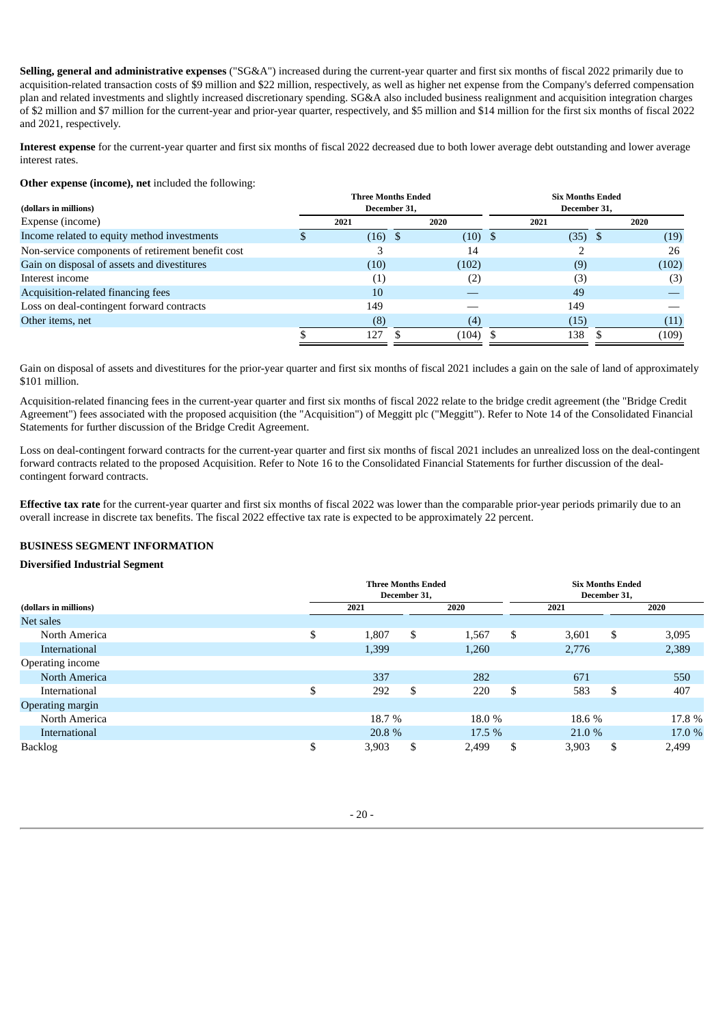**Selling, general and administrative expenses** ("SG&A") increased during the current-year quarter and first six months of fiscal 2022 primarily due to acquisition-related transaction costs of \$9 million and \$22 million, respectively, as well as higher net expense from the Company's deferred compensation plan and related investments and slightly increased discretionary spending. SG&A also included business realignment and acquisition integration charges of \$2 million and \$7 million for the current-year and prior-year quarter, respectively, and \$5 million and \$14 million for the first six months of fiscal 2022 and 2021, respectively.

**Interest expense** for the current-year quarter and first six months of fiscal 2022 decreased due to both lower average debt outstanding and lower average interest rates.

**Other expense (income), net** included the following:

|                                                   |              | <b>Three Months Ended</b> |      |       | <b>Six Months Ended</b> |              |  |       |  |  |
|---------------------------------------------------|--------------|---------------------------|------|-------|-------------------------|--------------|--|-------|--|--|
| (dollars in millions)                             | December 31. |                           |      |       |                         | December 31, |  |       |  |  |
| Expense (income)                                  |              | 2021                      |      | 2020  | 2021                    |              |  | 2020  |  |  |
| Income related to equity method investments       |              | (16)                      | - 35 | (10)  | - 76                    | $(35)$ \$    |  | (19)  |  |  |
| Non-service components of retirement benefit cost |              |                           |      | 14    |                         |              |  | 26    |  |  |
| Gain on disposal of assets and divestitures       |              | (10)                      |      | (102) |                         | (9)          |  | (102) |  |  |
| Interest income                                   |              | $\left( 1\right)$         |      | (2)   |                         | (3)          |  | (3)   |  |  |
| Acquisition-related financing fees                |              | 10                        |      |       |                         | 49           |  |       |  |  |
| Loss on deal-contingent forward contracts         |              | 149                       |      |       |                         | 149          |  |       |  |  |
| Other items, net                                  |              | (8)                       |      | (4)   |                         | (15)         |  | (11)  |  |  |
|                                                   |              | 127                       |      | (104) |                         | 138          |  | (109) |  |  |

Gain on disposal of assets and divestitures for the prior-year quarter and first six months of fiscal 2021 includes a gain on the sale of land of approximately \$101 million.

Acquisition-related financing fees in the current-year quarter and first six months of fiscal 2022 relate to the bridge credit agreement (the "Bridge Credit Agreement") fees associated with the proposed acquisition (the "Acquisition") of Meggitt plc ("Meggitt"). Refer to Note 14 of the Consolidated Financial Statements for further discussion of the Bridge Credit Agreement.

Loss on deal-contingent forward contracts for the current-year quarter and first six months of fiscal 2021 includes an unrealized loss on the deal-contingent forward contracts related to the proposed Acquisition. Refer to Note 16 to the Consolidated Financial Statements for further discussion of the dealcontingent forward contracts.

**Effective tax rate** for the current-year quarter and first six months of fiscal 2022 was lower than the comparable prior-year periods primarily due to an overall increase in discrete tax benefits. The fiscal 2022 effective tax rate is expected to be approximately 22 percent.

#### **BUSINESS SEGMENT INFORMATION**

#### **Diversified Industrial Segment**

|                       | <b>Three Months Ended</b><br>December 31, |        |    | <b>Six Months Ended</b><br>December 31, |      |        |    |        |
|-----------------------|-------------------------------------------|--------|----|-----------------------------------------|------|--------|----|--------|
| (dollars in millions) |                                           | 2021   |    | 2020                                    | 2021 |        |    | 2020   |
| Net sales             |                                           |        |    |                                         |      |        |    |        |
| North America         | \$                                        | 1,807  | \$ | 1,567                                   | \$   | 3,601  | \$ | 3,095  |
| International         |                                           | 1,399  |    | 1,260                                   |      | 2,776  |    | 2,389  |
| Operating income      |                                           |        |    |                                         |      |        |    |        |
| North America         |                                           | 337    |    | 282                                     |      | 671    |    | 550    |
| International         | \$                                        | 292    | \$ | 220                                     | \$   | 583    | \$ | 407    |
| Operating margin      |                                           |        |    |                                         |      |        |    |        |
| North America         |                                           | 18.7%  |    | 18.0 %                                  |      | 18.6 % |    | 17.8 % |
| International         |                                           | 20.8 % |    | 17.5 %                                  |      | 21.0 % |    | 17.0 % |
| <b>Backlog</b>        | \$                                        | 3,903  | \$ | 2,499                                   | \$   | 3,903  | \$ | 2,499  |

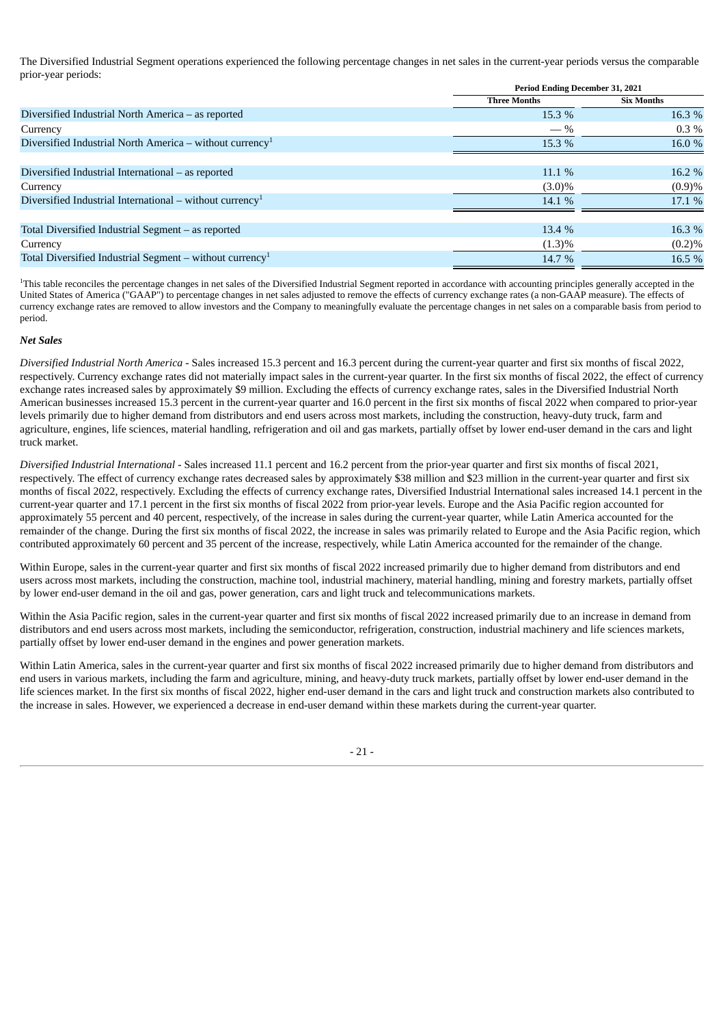The Diversified Industrial Segment operations experienced the following percentage changes in net sales in the current-year periods versus the comparable prior-year periods:

|                                                                      | Period Ending December 31, 2021 |                   |  |  |  |
|----------------------------------------------------------------------|---------------------------------|-------------------|--|--|--|
|                                                                      | <b>Three Months</b>             | <b>Six Months</b> |  |  |  |
| Diversified Industrial North America – as reported                   | 15.3 %                          | 16.3 %            |  |  |  |
| Currency                                                             | $-$ %                           | $0.3\%$           |  |  |  |
| Diversified Industrial North America – without currency <sup>1</sup> | 15.3 %                          | 16.0 %            |  |  |  |
|                                                                      |                                 |                   |  |  |  |
| Diversified Industrial International – as reported                   | 11.1 %                          | 16.2 %            |  |  |  |
| Currency                                                             | $(3.0)\%$                       | (0.9)%            |  |  |  |
| Diversified Industrial International – without currency <sup>1</sup> | 14.1 %                          | 17.1 %            |  |  |  |
|                                                                      |                                 |                   |  |  |  |
| Total Diversified Industrial Segment – as reported                   | 13.4 %                          | 16.3 %            |  |  |  |
| Currency                                                             | $(1.3)\%$                       | (0.2)%            |  |  |  |
| Total Diversified Industrial Segment – without currency <sup>1</sup> | 14.7 %                          | 16.5 %            |  |  |  |

<sup>1</sup>This table reconciles the percentage changes in net sales of the Diversified Industrial Segment reported in accordance with accounting principles generally accepted in the United States of America ("GAAP") to percentage changes in net sales adjusted to remove the effects of currency exchange rates (a non-GAAP measure). The effects of currency exchange rates are removed to allow investors and the Company to meaningfully evaluate the percentage changes in net sales on a comparable basis from period to period.

#### *Net Sales*

*Diversified Industrial North America* - Sales increased 15.3 percent and 16.3 percent during the current-year quarter and first six months of fiscal 2022, respectively. Currency exchange rates did not materially impact sales in the current-year quarter. In the first six months of fiscal 2022, the effect of currency exchange rates increased sales by approximately \$9 million. Excluding the effects of currency exchange rates, sales in the Diversified Industrial North American businesses increased 15.3 percent in the current-year quarter and 16.0 percent in the first six months of fiscal 2022 when compared to prior-year levels primarily due to higher demand from distributors and end users across most markets, including the construction, heavy-duty truck, farm and agriculture, engines, life sciences, material handling, refrigeration and oil and gas markets, partially offset by lower end-user demand in the cars and light truck market.

*Diversified Industrial International* - Sales increased 11.1 percent and 16.2 percent from the prior-year quarter and first six months of fiscal 2021, respectively. The effect of currency exchange rates decreased sales by approximately \$38 million and \$23 million in the current-year quarter and first six months of fiscal 2022, respectively. Excluding the effects of currency exchange rates, Diversified Industrial International sales increased 14.1 percent in the current-year quarter and 17.1 percent in the first six months of fiscal 2022 from prior-year levels. Europe and the Asia Pacific region accounted for approximately 55 percent and 40 percent, respectively, of the increase in sales during the current-year quarter, while Latin America accounted for the remainder of the change. During the first six months of fiscal 2022, the increase in sales was primarily related to Europe and the Asia Pacific region, which contributed approximately 60 percent and 35 percent of the increase, respectively, while Latin America accounted for the remainder of the change.

Within Europe, sales in the current-year quarter and first six months of fiscal 2022 increased primarily due to higher demand from distributors and end users across most markets, including the construction, machine tool, industrial machinery, material handling, mining and forestry markets, partially offset by lower end-user demand in the oil and gas, power generation, cars and light truck and telecommunications markets.

Within the Asia Pacific region, sales in the current-year quarter and first six months of fiscal 2022 increased primarily due to an increase in demand from distributors and end users across most markets, including the semiconductor, refrigeration, construction, industrial machinery and life sciences markets, partially offset by lower end-user demand in the engines and power generation markets.

Within Latin America, sales in the current-year quarter and first six months of fiscal 2022 increased primarily due to higher demand from distributors and end users in various markets, including the farm and agriculture, mining, and heavy-duty truck markets, partially offset by lower end-user demand in the life sciences market. In the first six months of fiscal 2022, higher end-user demand in the cars and light truck and construction markets also contributed to the increase in sales. However, we experienced a decrease in end-user demand within these markets during the current-year quarter.

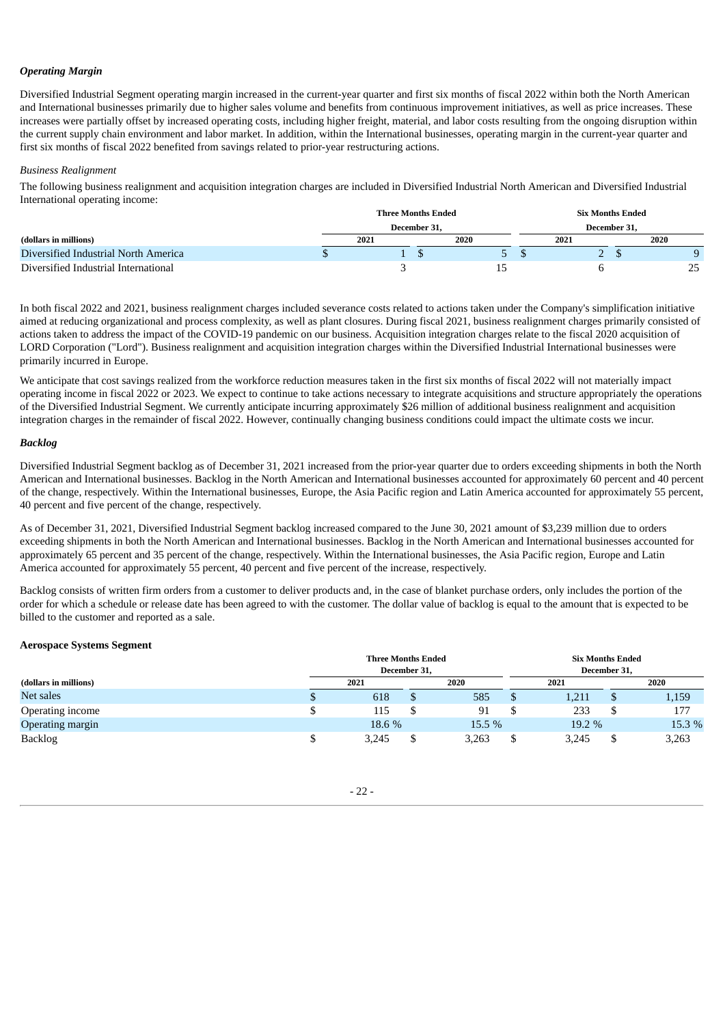#### *Operating Margin*

Diversified Industrial Segment operating margin increased in the current-year quarter and first six months of fiscal 2022 within both the North American and International businesses primarily due to higher sales volume and benefits from continuous improvement initiatives, as well as price increases. These increases were partially offset by increased operating costs, including higher freight, material, and labor costs resulting from the ongoing disruption within the current supply chain environment and labor market. In addition, within the International businesses, operating margin in the current-year quarter and first six months of fiscal 2022 benefited from savings related to prior-year restructuring actions.

#### *Business Realignment*

The following business realignment and acquisition integration charges are included in Diversified Industrial North American and Diversified Industrial International operating income:

|                                      |              |  | <b>Three Months Ended</b> |      | <b>Six Months Ended</b> |              |  |      |  |
|--------------------------------------|--------------|--|---------------------------|------|-------------------------|--------------|--|------|--|
|                                      | December 31. |  |                           |      |                         | December 31. |  |      |  |
| (dollars in millions)                | 2021         |  |                           | 2020 |                         | 2021         |  | 2020 |  |
| Diversified Industrial North America |              |  |                           |      |                         |              |  |      |  |
| Diversified Industrial International |              |  |                           |      |                         |              |  | 25   |  |

In both fiscal 2022 and 2021, business realignment charges included severance costs related to actions taken under the Company's simplification initiative aimed at reducing organizational and process complexity, as well as plant closures. During fiscal 2021, business realignment charges primarily consisted of actions taken to address the impact of the COVID-19 pandemic on our business. Acquisition integration charges relate to the fiscal 2020 acquisition of LORD Corporation ("Lord"). Business realignment and acquisition integration charges within the Diversified Industrial International businesses were primarily incurred in Europe.

We anticipate that cost savings realized from the workforce reduction measures taken in the first six months of fiscal 2022 will not materially impact operating income in fiscal 2022 or 2023. We expect to continue to take actions necessary to integrate acquisitions and structure appropriately the operations of the Diversified Industrial Segment. We currently anticipate incurring approximately \$26 million of additional business realignment and acquisition integration charges in the remainder of fiscal 2022. However, continually changing business conditions could impact the ultimate costs we incur.

#### *Backlog*

Diversified Industrial Segment backlog as of December 31, 2021 increased from the prior-year quarter due to orders exceeding shipments in both the North American and International businesses. Backlog in the North American and International businesses accounted for approximately 60 percent and 40 percent of the change, respectively. Within the International businesses, Europe, the Asia Pacific region and Latin America accounted for approximately 55 percent, 40 percent and five percent of the change, respectively.

As of December 31, 2021, Diversified Industrial Segment backlog increased compared to the June 30, 2021 amount of \$3,239 million due to orders exceeding shipments in both the North American and International businesses. Backlog in the North American and International businesses accounted for approximately 65 percent and 35 percent of the change, respectively. Within the International businesses, the Asia Pacific region, Europe and Latin America accounted for approximately 55 percent, 40 percent and five percent of the increase, respectively.

Backlog consists of written firm orders from a customer to deliver products and, in the case of blanket purchase orders, only includes the portion of the order for which a schedule or release date has been agreed to with the customer. The dollar value of backlog is equal to the amount that is expected to be billed to the customer and reported as a sale.

#### **Aerospace Systems Segment**

|                       |   | <b>Three Months Ended</b> |  |        | <b>Six Months Ended</b> |              |  |        |  |
|-----------------------|---|---------------------------|--|--------|-------------------------|--------------|--|--------|--|
|                       |   | December 31.              |  |        |                         | December 31. |  |        |  |
| (dollars in millions) |   | 2021                      |  | 2020   |                         | 2021         |  | 2020   |  |
| Net sales             | ۰ | 618                       |  | 585    |                         | 1,211        |  | 1,159  |  |
| Operating income      |   | 115                       |  | 91     |                         | 233          |  | 177    |  |
| Operating margin      |   | 18.6 %                    |  | 15.5 % |                         | 19.2 %       |  | 15.3 % |  |
| <b>Backlog</b>        |   | 3,245                     |  | 3,263  | æ                       | 3,245        |  | 3,263  |  |

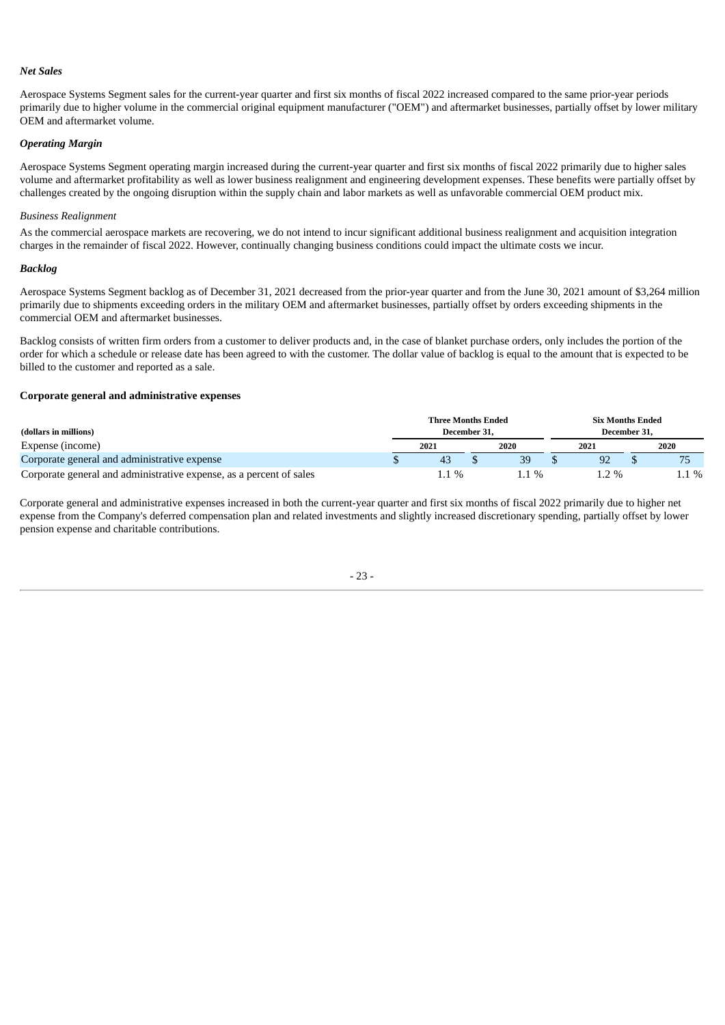#### *Net Sales*

Aerospace Systems Segment sales for the current-year quarter and first six months of fiscal 2022 increased compared to the same prior-year periods primarily due to higher volume in the commercial original equipment manufacturer ("OEM") and aftermarket businesses, partially offset by lower military OEM and aftermarket volume.

#### *Operating Margin*

Aerospace Systems Segment operating margin increased during the current-year quarter and first six months of fiscal 2022 primarily due to higher sales volume and aftermarket profitability as well as lower business realignment and engineering development expenses. These benefits were partially offset by challenges created by the ongoing disruption within the supply chain and labor markets as well as unfavorable commercial OEM product mix.

#### *Business Realignment*

As the commercial aerospace markets are recovering, we do not intend to incur significant additional business realignment and acquisition integration charges in the remainder of fiscal 2022. However, continually changing business conditions could impact the ultimate costs we incur.

#### *Backlog*

Aerospace Systems Segment backlog as of December 31, 2021 decreased from the prior-year quarter and from the June 30, 2021 amount of \$3,264 million primarily due to shipments exceeding orders in the military OEM and aftermarket businesses, partially offset by orders exceeding shipments in the commercial OEM and aftermarket businesses.

Backlog consists of written firm orders from a customer to deliver products and, in the case of blanket purchase orders, only includes the portion of the order for which a schedule or release date has been agreed to with the customer. The dollar value of backlog is equal to the amount that is expected to be billed to the customer and reported as a sale.

#### **Corporate general and administrative expenses**

| (dollars in millions)                                               | <b>Three Months Ended</b> | December 31. |        | <b>Six Months Ended</b> | December 31. |       |
|---------------------------------------------------------------------|---------------------------|--------------|--------|-------------------------|--------------|-------|
| Expense (income)                                                    | 2021                      |              | 2020   | 2021                    |              | 2020  |
| Corporate general and administrative expense                        | 43                        |              |        |                         |              | 75    |
| Corporate general and administrative expense, as a percent of sales | 1.1 $%$                   |              | $.1\%$ | $.2\%$                  |              | $1\%$ |

Corporate general and administrative expenses increased in both the current-year quarter and first six months of fiscal 2022 primarily due to higher net expense from the Company's deferred compensation plan and related investments and slightly increased discretionary spending, partially offset by lower pension expense and charitable contributions.

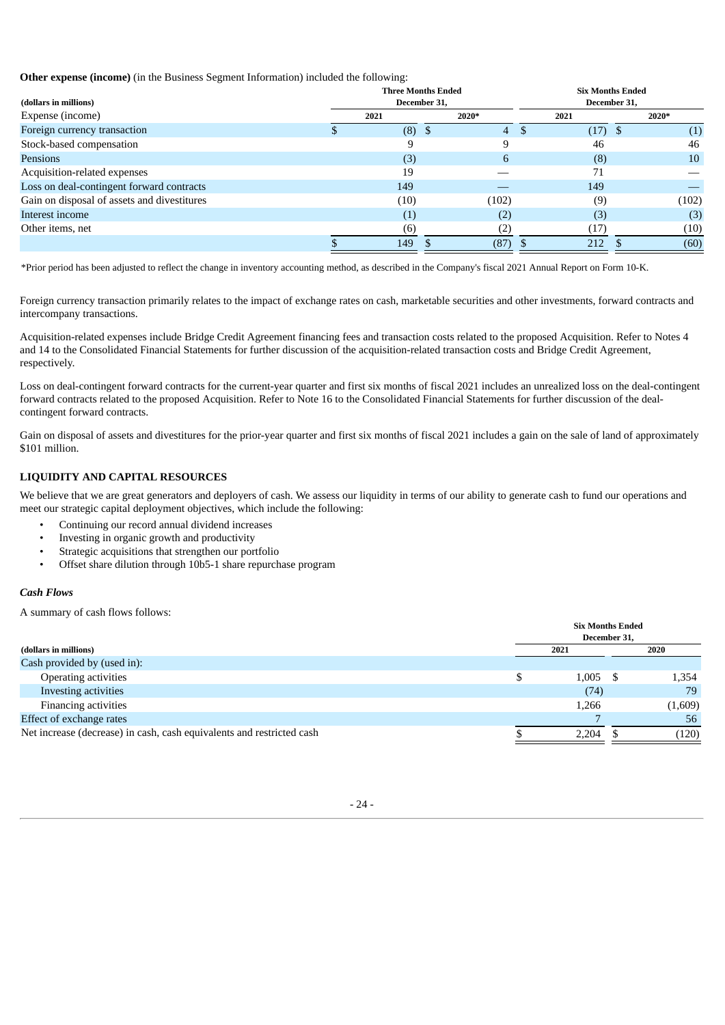#### **Other expense (income)** (in the Business Segment Information) included the following:

|                                             |      | <b>Three Months Ended</b> | <b>Six Months Ended</b> |              |  |  |
|---------------------------------------------|------|---------------------------|-------------------------|--------------|--|--|
| (dollars in millions)                       |      | December 31,              |                         | December 31, |  |  |
| Expense (income)                            | 2021 | 2020*                     | 2021                    | 2020*        |  |  |
| Foreign currency transaction                | (8)  | -\$<br>4                  | (17)                    | (1)<br>-5    |  |  |
| Stock-based compensation                    | 9    |                           | 46                      | 46           |  |  |
| Pensions                                    | (3)  | b                         | (8)                     | 10           |  |  |
| Acquisition-related expenses                | 19   |                           | 71                      |              |  |  |
| Loss on deal-contingent forward contracts   | 149  |                           | 149                     |              |  |  |
| Gain on disposal of assets and divestitures | (10) | (102)                     | (9)                     | (102)        |  |  |
| Interest income                             | (1)  | (2)                       | (3)                     | (3)          |  |  |
| Other items, net                            | (6)  | (2)                       | (17                     | (10)         |  |  |
|                                             | 149  | (87)                      | 212                     | (60)         |  |  |

\*Prior period has been adjusted to reflect the change in inventory accounting method, as described in the Company's fiscal 2021 Annual Report on Form 10-K.

Foreign currency transaction primarily relates to the impact of exchange rates on cash, marketable securities and other investments, forward contracts and intercompany transactions.

Acquisition-related expenses include Bridge Credit Agreement financing fees and transaction costs related to the proposed Acquisition. Refer to Notes 4 and 14 to the Consolidated Financial Statements for further discussion of the acquisition-related transaction costs and Bridge Credit Agreement, respectively.

Loss on deal-contingent forward contracts for the current-year quarter and first six months of fiscal 2021 includes an unrealized loss on the deal-contingent forward contracts related to the proposed Acquisition. Refer to Note 16 to the Consolidated Financial Statements for further discussion of the dealcontingent forward contracts.

Gain on disposal of assets and divestitures for the prior-year quarter and first six months of fiscal 2021 includes a gain on the sale of land of approximately \$101 million.

# **LIQUIDITY AND CAPITAL RESOURCES**

We believe that we are great generators and deployers of cash. We assess our liquidity in terms of our ability to generate cash to fund our operations and meet our strategic capital deployment objectives, which include the following:

- Continuing our record annual dividend increases
- Investing in organic growth and productivity
- Strategic acquisitions that strengthen our portfolio
- Offset share dilution through 10b5-1 share repurchase program

#### *Cash Flows*

A summary of cash flows follows:

|                                                                       | <b>Six Months Ended</b><br>December 31. |       |     |         |
|-----------------------------------------------------------------------|-----------------------------------------|-------|-----|---------|
|                                                                       |                                         |       |     |         |
| (dollars in millions)                                                 |                                         | 2021  |     | 2020    |
| Cash provided by (used in):                                           |                                         |       |     |         |
| Operating activities                                                  |                                         | 1,005 | - S | 1,354   |
| Investing activities                                                  |                                         | (74)  |     | 79      |
| Financing activities                                                  |                                         | 1,266 |     | (1,609) |
| Effect of exchange rates                                              |                                         |       |     | 56      |
| Net increase (decrease) in cash, cash equivalents and restricted cash |                                         | 2.204 |     | (120)   |

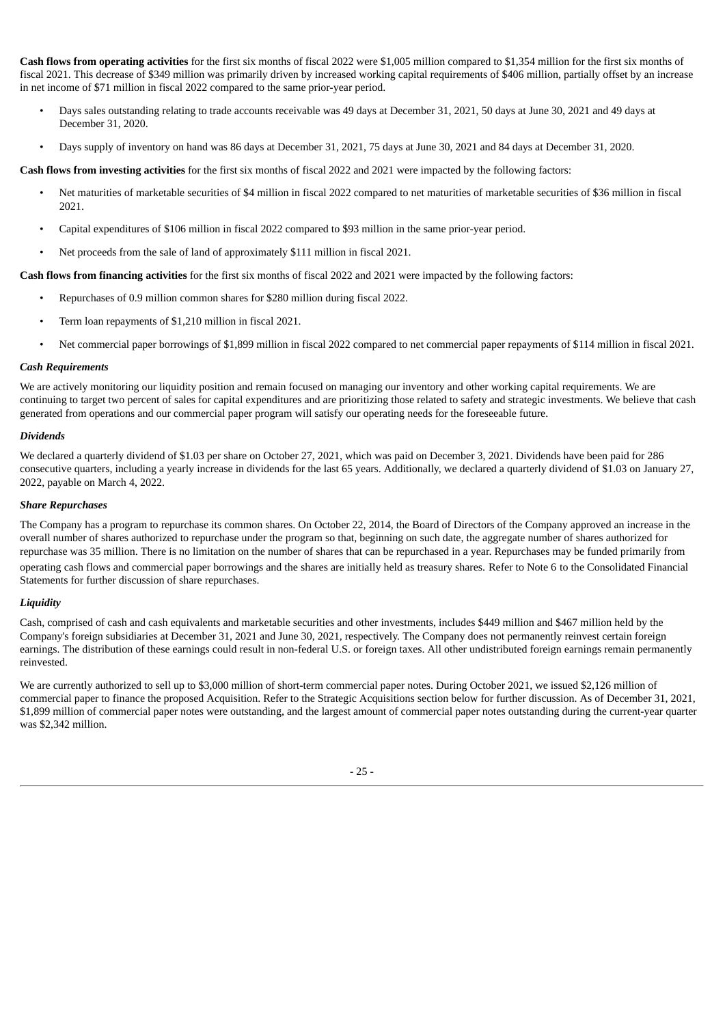**Cash flows from operating activities** for the first six months of fiscal 2022 were \$1,005 million compared to \$1,354 million for the first six months of fiscal 2021. This decrease of \$349 million was primarily driven by increased working capital requirements of \$406 million, partially offset by an increase in net income of \$71 million in fiscal 2022 compared to the same prior-year period.

- Days sales outstanding relating to trade accounts receivable was 49 days at December 31, 2021, 50 days at June 30, 2021 and 49 days at December 31, 2020.
- Days supply of inventory on hand was 86 days at December 31, 2021, 75 days at June 30, 2021 and 84 days at December 31, 2020.

**Cash flows from investing activities** for the first six months of fiscal 2022 and 2021 were impacted by the following factors:

- Net maturities of marketable securities of \$4 million in fiscal 2022 compared to net maturities of marketable securities of \$36 million in fiscal 2021.
- Capital expenditures of \$106 million in fiscal 2022 compared to \$93 million in the same prior-year period.
- Net proceeds from the sale of land of approximately \$111 million in fiscal 2021.

**Cash flows from financing activities** for the first six months of fiscal 2022 and 2021 were impacted by the following factors:

- Repurchases of 0.9 million common shares for \$280 million during fiscal 2022.
- Term loan repayments of \$1,210 million in fiscal 2021.
- Net commercial paper borrowings of \$1,899 million in fiscal 2022 compared to net commercial paper repayments of \$114 million in fiscal 2021.

#### *Cash Requirements*

We are actively monitoring our liquidity position and remain focused on managing our inventory and other working capital requirements. We are continuing to target two percent of sales for capital expenditures and are prioritizing those related to safety and strategic investments. We believe that cash generated from operations and our commercial paper program will satisfy our operating needs for the foreseeable future.

#### *Dividends*

We declared a quarterly dividend of \$1.03 per share on October 27, 2021, which was paid on December 3, 2021. Dividends have been paid for 286 consecutive quarters, including a yearly increase in dividends for the last 65 years. Additionally, we declared a quarterly dividend of \$1.03 on January 27, 2022, payable on March 4, 2022.

#### *Share Repurchases*

The Company has a program to repurchase its common shares. On October 22, 2014, the Board of Directors of the Company approved an increase in the overall number of shares authorized to repurchase under the program so that, beginning on such date, the aggregate number of shares authorized for repurchase was 35 million. There is no limitation on the number of shares that can be repurchased in a year. Repurchases may be funded primarily from operating cash flows and commercial paper borrowings and the shares are initially held as treasury shares. Refer to Note 6 to the Consolidated Financial Statements for further discussion of share repurchases.

#### *Liquidity*

Cash, comprised of cash and cash equivalents and marketable securities and other investments, includes \$449 million and \$467 million held by the Company's foreign subsidiaries at December 31, 2021 and June 30, 2021, respectively. The Company does not permanently reinvest certain foreign earnings. The distribution of these earnings could result in non-federal U.S. or foreign taxes. All other undistributed foreign earnings remain permanently reinvested.

We are currently authorized to sell up to \$3,000 million of short-term commercial paper notes. During October 2021, we issued \$2,126 million of commercial paper to finance the proposed Acquisition. Refer to the Strategic Acquisitions section below for further discussion. As of December 31, 2021, \$1,899 million of commercial paper notes were outstanding, and the largest amount of commercial paper notes outstanding during the current-year quarter was \$2,342 million.

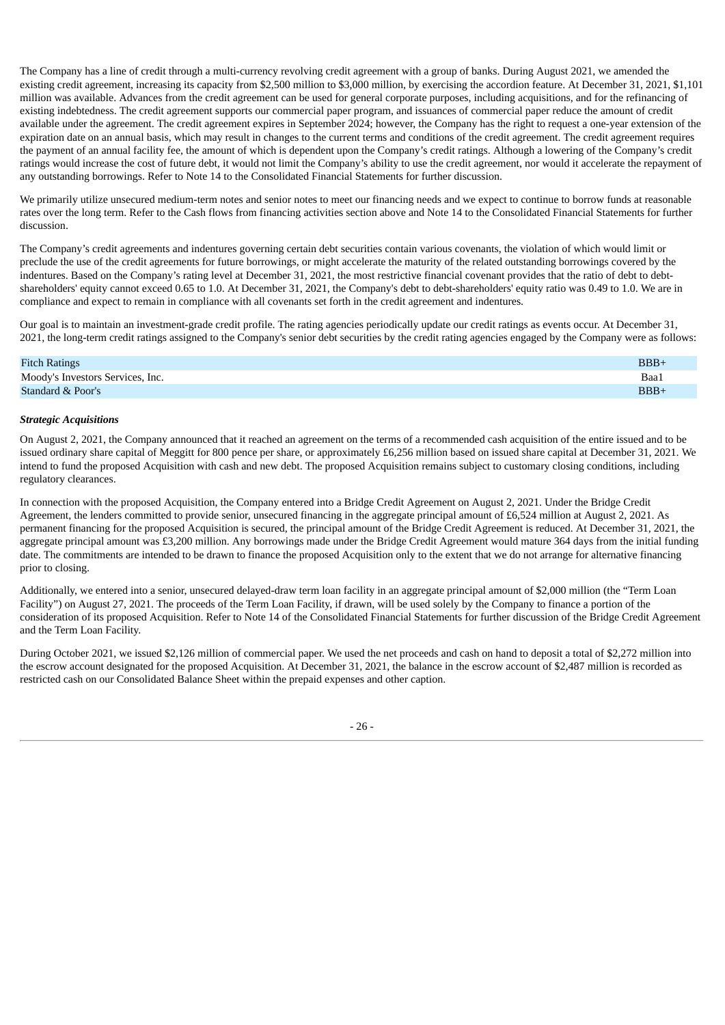The Company has a line of credit through a multi-currency revolving credit agreement with a group of banks. During August 2021, we amended the existing credit agreement, increasing its capacity from \$2,500 million to \$3,000 million, by exercising the accordion feature. At December 31, 2021, \$1,101 million was available. Advances from the credit agreement can be used for general corporate purposes, including acquisitions, and for the refinancing of existing indebtedness. The credit agreement supports our commercial paper program, and issuances of commercial paper reduce the amount of credit available under the agreement. The credit agreement expires in September 2024; however, the Company has the right to request a one-year extension of the expiration date on an annual basis, which may result in changes to the current terms and conditions of the credit agreement. The credit agreement requires the payment of an annual facility fee, the amount of which is dependent upon the Company's credit ratings. Although a lowering of the Company's credit ratings would increase the cost of future debt, it would not limit the Company's ability to use the credit agreement, nor would it accelerate the repayment of any outstanding borrowings. Refer to Note 14 to the Consolidated Financial Statements for further discussion.

We primarily utilize unsecured medium-term notes and senior notes to meet our financing needs and we expect to continue to borrow funds at reasonable rates over the long term. Refer to the Cash flows from financing activities section above and Note 14 to the Consolidated Financial Statements for further discussion.

The Company's credit agreements and indentures governing certain debt securities contain various covenants, the violation of which would limit or preclude the use of the credit agreements for future borrowings, or might accelerate the maturity of the related outstanding borrowings covered by the indentures. Based on the Company's rating level at December 31, 2021, the most restrictive financial covenant provides that the ratio of debt to debtshareholders' equity cannot exceed 0.65 to 1.0. At December 31, 2021, the Company's debt to debt-shareholders' equity ratio was 0.49 to 1.0. We are in compliance and expect to remain in compliance with all covenants set forth in the credit agreement and indentures.

Our goal is to maintain an investment-grade credit profile. The rating agencies periodically update our credit ratings as events occur. At December 31, 2021, the long-term credit ratings assigned to the Company's senior debt securities by the credit rating agencies engaged by the Company were as follows:

| <b>Fitch Ratings</b>             | BBB-   |
|----------------------------------|--------|
| Moody's Investors Services, Inc. | Baa1   |
| Standard & Poor's                | $BBB+$ |

#### *Strategic Acquisitions*

On August 2, 2021, the Company announced that it reached an agreement on the terms of a recommended cash acquisition of the entire issued and to be issued ordinary share capital of Meggitt for 800 pence per share, or approximately £6,256 million based on issued share capital at December 31, 2021. We intend to fund the proposed Acquisition with cash and new debt. The proposed Acquisition remains subject to customary closing conditions, including regulatory clearances.

In connection with the proposed Acquisition, the Company entered into a Bridge Credit Agreement on August 2, 2021. Under the Bridge Credit Agreement, the lenders committed to provide senior, unsecured financing in the aggregate principal amount of £6,524 million at August 2, 2021. As permanent financing for the proposed Acquisition is secured, the principal amount of the Bridge Credit Agreement is reduced. At December 31, 2021, the aggregate principal amount was £3,200 million. Any borrowings made under the Bridge Credit Agreement would mature 364 days from the initial funding date. The commitments are intended to be drawn to finance the proposed Acquisition only to the extent that we do not arrange for alternative financing prior to closing.

Additionally, we entered into a senior, unsecured delayed-draw term loan facility in an aggregate principal amount of \$2,000 million (the "Term Loan Facility") on August 27, 2021. The proceeds of the Term Loan Facility, if drawn, will be used solely by the Company to finance a portion of the consideration of its proposed Acquisition. Refer to Note 14 of the Consolidated Financial Statements for further discussion of the Bridge Credit Agreement and the Term Loan Facility.

During October 2021, we issued \$2,126 million of commercial paper. We used the net proceeds and cash on hand to deposit a total of \$2,272 million into the escrow account designated for the proposed Acquisition. At December 31, 2021, the balance in the escrow account of \$2,487 million is recorded as restricted cash on our Consolidated Balance Sheet within the prepaid expenses and other caption.

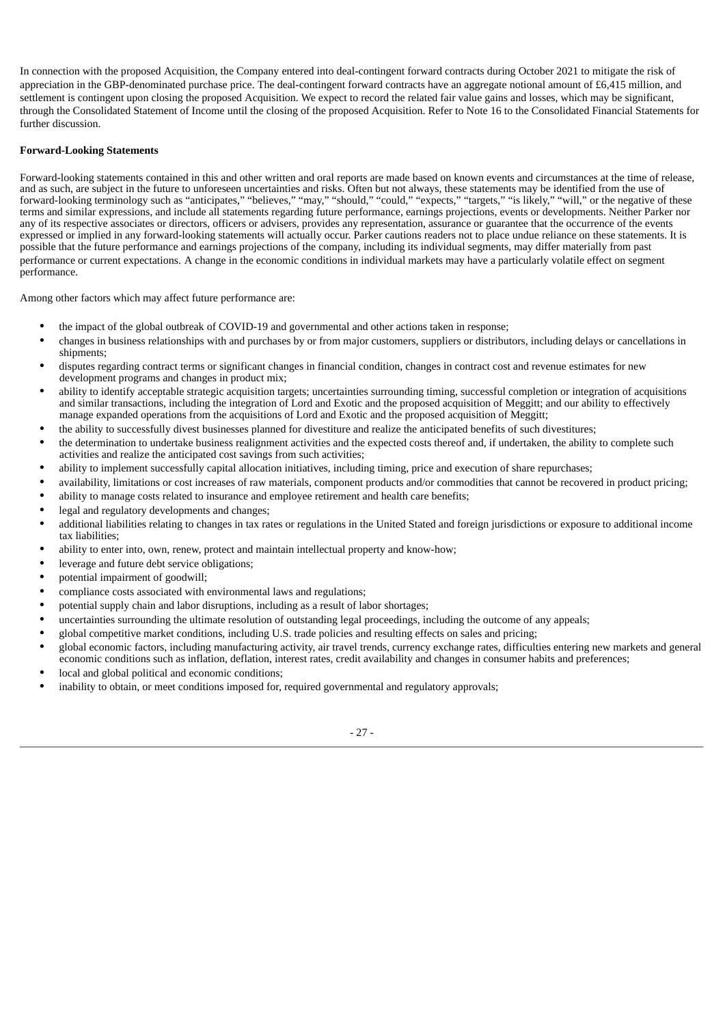In connection with the proposed Acquisition, the Company entered into deal-contingent forward contracts during October 2021 to mitigate the risk of appreciation in the GBP-denominated purchase price. The deal-contingent forward contracts have an aggregate notional amount of £6,415 million, and settlement is contingent upon closing the proposed Acquisition. We expect to record the related fair value gains and losses, which may be significant, through the Consolidated Statement of Income until the closing of the proposed Acquisition. Refer to Note 16 to the Consolidated Financial Statements for further discussion.

#### **Forward-Looking Statements**

Forward-looking statements contained in this and other written and oral reports are made based on known events and circumstances at the time of release, and as such, are subject in the future to unforeseen uncertainties and risks. Often but not always, these statements may be identified from the use of forward-looking terminology such as "anticipates," "believes," "may," "should," "could," "expects," "targets," "is likely," "will," or the negative of these terms and similar expressions, and include all statements regarding future performance, earnings projections, events or developments. Neither Parker nor any of its respective associates or directors, officers or advisers, provides any representation, assurance or guarantee that the occurrence of the events expressed or implied in any forward-looking statements will actually occur. Parker cautions readers not to place undue reliance on these statements. It is possible that the future performance and earnings projections of the company, including its individual segments, may differ materially from past performance or current expectations. A change in the economic conditions in individual markets may have a particularly volatile effect on segment performance.

Among other factors which may affect future performance are:

- the impact of the global outbreak of COVID-19 and governmental and other actions taken in response;
- changes in business relationships with and purchases by or from major customers, suppliers or distributors, including delays or cancellations in shipments;
- disputes regarding contract terms or significant changes in financial condition, changes in contract cost and revenue estimates for new development programs and changes in product mix;
- ability to identify acceptable strategic acquisition targets; uncertainties surrounding timing, successful completion or integration of acquisitions and similar transactions, including the integration of Lord and Exotic and the proposed acquisition of Meggitt; and our ability to effectively manage expanded operations from the acquisitions of Lord and Exotic and the proposed acquisition of Meggitt;
- the ability to successfully divest businesses planned for divestiture and realize the anticipated benefits of such divestitures;
- the determination to undertake business realignment activities and the expected costs thereof and, if undertaken, the ability to complete such activities and realize the anticipated cost savings from such activities;
- ability to implement successfully capital allocation initiatives, including timing, price and execution of share repurchases;
- availability, limitations or cost increases of raw materials, component products and/or commodities that cannot be recovered in product pricing;
- ability to manage costs related to insurance and employee retirement and health care benefits;
- legal and regulatory developments and changes;
- additional liabilities relating to changes in tax rates or regulations in the United Stated and foreign jurisdictions or exposure to additional income tax liabilities;
- ability to enter into, own, renew, protect and maintain intellectual property and know-how;
- leverage and future debt service obligations;
- potential impairment of goodwill;
- compliance costs associated with environmental laws and regulations;
- potential supply chain and labor disruptions, including as a result of labor shortages;
- uncertainties surrounding the ultimate resolution of outstanding legal proceedings, including the outcome of any appeals;
- global competitive market conditions, including U.S. trade policies and resulting effects on sales and pricing;
- global economic factors, including manufacturing activity, air travel trends, currency exchange rates, difficulties entering new markets and general economic conditions such as inflation, deflation, interest rates, credit availability and changes in consumer habits and preferences;
- local and global political and economic conditions;
- inability to obtain, or meet conditions imposed for, required governmental and regulatory approvals;

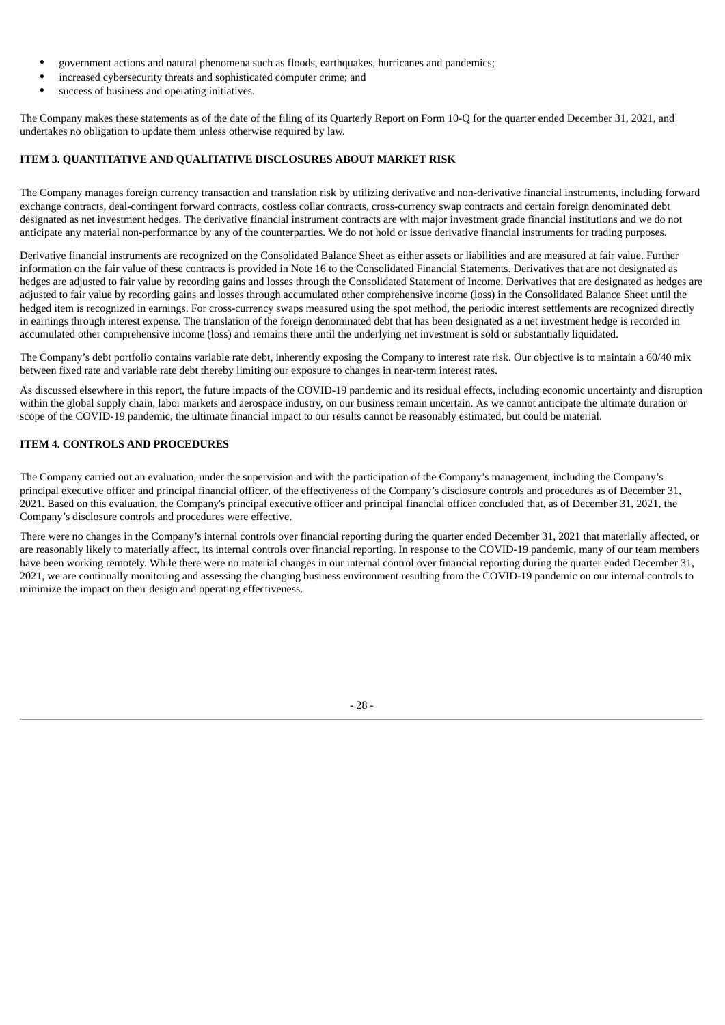- government actions and natural phenomena such as floods, earthquakes, hurricanes and pandemics;
- increased cybersecurity threats and sophisticated computer crime; and
- success of business and operating initiatives.

The Company makes these statements as of the date of the filing of its Quarterly Report on Form 10-Q for the quarter ended December 31, 2021, and undertakes no obligation to update them unless otherwise required by law.

### **ITEM 3. QUANTITATIVE AND QUALITATIVE DISCLOSURES ABOUT MARKET RISK**

The Company manages foreign currency transaction and translation risk by utilizing derivative and non-derivative financial instruments, including forward exchange contracts, deal-contingent forward contracts, costless collar contracts, cross-currency swap contracts and certain foreign denominated debt designated as net investment hedges. The derivative financial instrument contracts are with major investment grade financial institutions and we do not anticipate any material non-performance by any of the counterparties. We do not hold or issue derivative financial instruments for trading purposes.

Derivative financial instruments are recognized on the Consolidated Balance Sheet as either assets or liabilities and are measured at fair value. Further information on the fair value of these contracts is provided in Note 16 to the Consolidated Financial Statements. Derivatives that are not designated as hedges are adjusted to fair value by recording gains and losses through the Consolidated Statement of Income. Derivatives that are designated as hedges are adjusted to fair value by recording gains and losses through accumulated other comprehensive income (loss) in the Consolidated Balance Sheet until the hedged item is recognized in earnings. For cross-currency swaps measured using the spot method, the periodic interest settlements are recognized directly in earnings through interest expense. The translation of the foreign denominated debt that has been designated as a net investment hedge is recorded in accumulated other comprehensive income (loss) and remains there until the underlying net investment is sold or substantially liquidated.

The Company's debt portfolio contains variable rate debt, inherently exposing the Company to interest rate risk. Our objective is to maintain a 60/40 mix between fixed rate and variable rate debt thereby limiting our exposure to changes in near-term interest rates.

As discussed elsewhere in this report, the future impacts of the COVID-19 pandemic and its residual effects, including economic uncertainty and disruption within the global supply chain, labor markets and aerospace industry, on our business remain uncertain. As we cannot anticipate the ultimate duration or scope of the COVID-19 pandemic, the ultimate financial impact to our results cannot be reasonably estimated, but could be material.

### **ITEM 4. CONTROLS AND PROCEDURES**

The Company carried out an evaluation, under the supervision and with the participation of the Company's management, including the Company's principal executive officer and principal financial officer, of the effectiveness of the Company's disclosure controls and procedures as of December 31, 2021. Based on this evaluation, the Company's principal executive officer and principal financial officer concluded that, as of December 31, 2021, the Company's disclosure controls and procedures were effective.

There were no changes in the Company's internal controls over financial reporting during the quarter ended December 31, 2021 that materially affected, or are reasonably likely to materially affect, its internal controls over financial reporting. In response to the COVID-19 pandemic, many of our team members have been working remotely. While there were no material changes in our internal control over financial reporting during the quarter ended December 31, 2021, we are continually monitoring and assessing the changing business environment resulting from the COVID-19 pandemic on our internal controls to minimize the impact on their design and operating effectiveness.

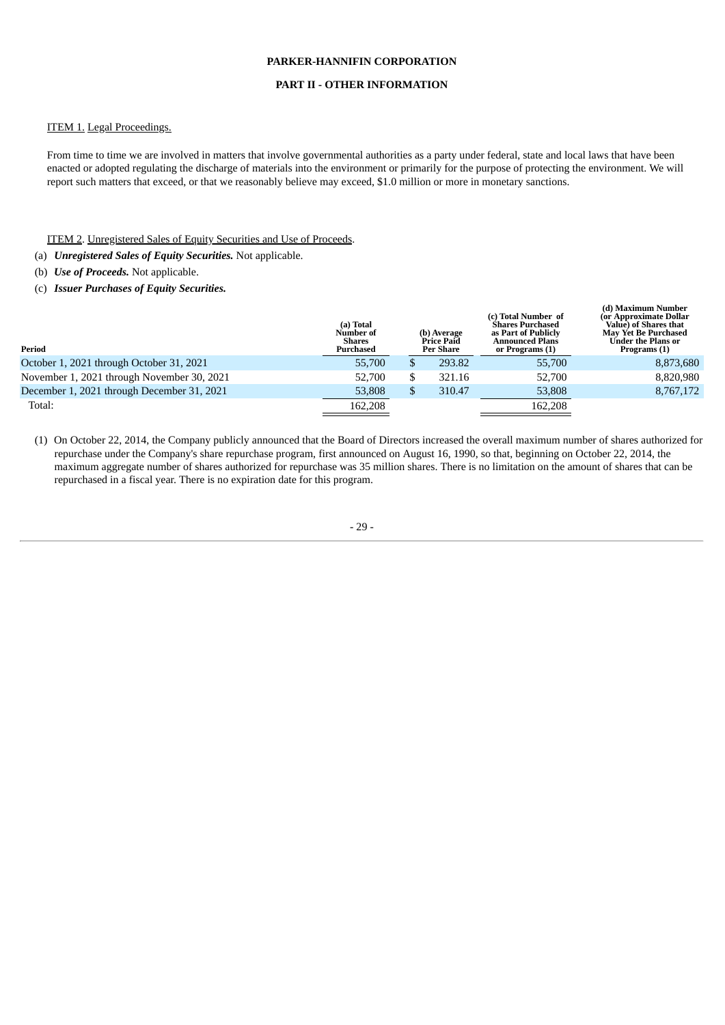#### **PART II - OTHER INFORMATION**

# ITEM 1. Legal Proceedings.

From time to time we are involved in matters that involve governmental authorities as a party under federal, state and local laws that have been enacted or adopted regulating the discharge of materials into the environment or primarily for the purpose of protecting the environment. We will report such matters that exceed, or that we reasonably believe may exceed, \$1.0 million or more in monetary sanctions.

#### ITEM 2. Unregistered Sales of Equity Securities and Use of Proceeds.

- (a) *Unregistered Sales of Equity Securities.* Not applicable.
- (b) *Use of Proceeds.* Not applicable.
- (c) *Issuer Purchases of Equity Securities.*

| Period                                     | (a) Total<br>Number of<br>Shares<br>Purchased | (b) Average<br>Price Paid<br>Per Share | (c) Total Number of<br><b>Shares Purchased</b><br>as Part of Publicly<br><b>Announced Plans</b><br>or Programs (1) | (a) Maximum Number<br>(or Approximate Dollar<br>Value) of Shares that<br><b>May Yet Be Purchased</b><br>Under the Plans or<br>Programs (1) |
|--------------------------------------------|-----------------------------------------------|----------------------------------------|--------------------------------------------------------------------------------------------------------------------|--------------------------------------------------------------------------------------------------------------------------------------------|
| October 1, 2021 through October 31, 2021   | 55,700                                        | 293.82                                 | 55,700                                                                                                             | 8,873,680                                                                                                                                  |
| November 1, 2021 through November 30, 2021 | 52,700                                        | 321.16                                 | 52,700                                                                                                             | 8,820,980                                                                                                                                  |
| December 1, 2021 through December 31, 2021 | 53,808                                        | 310.47                                 | 53,808                                                                                                             | 8,767,172                                                                                                                                  |
| Total:                                     | 162,208                                       |                                        | 162,208                                                                                                            |                                                                                                                                            |
|                                            |                                               |                                        |                                                                                                                    |                                                                                                                                            |

**(d) Maximum Number**

(1) On October 22, 2014, the Company publicly announced that the Board of Directors increased the overall maximum number of shares authorized for repurchase under the Company's share repurchase program, first announced on August 16, 1990, so that, beginning on October 22, 2014, the maximum aggregate number of shares authorized for repurchase was 35 million shares. There is no limitation on the amount of shares that can be repurchased in a fiscal year. There is no expiration date for this program.

#### - 29 -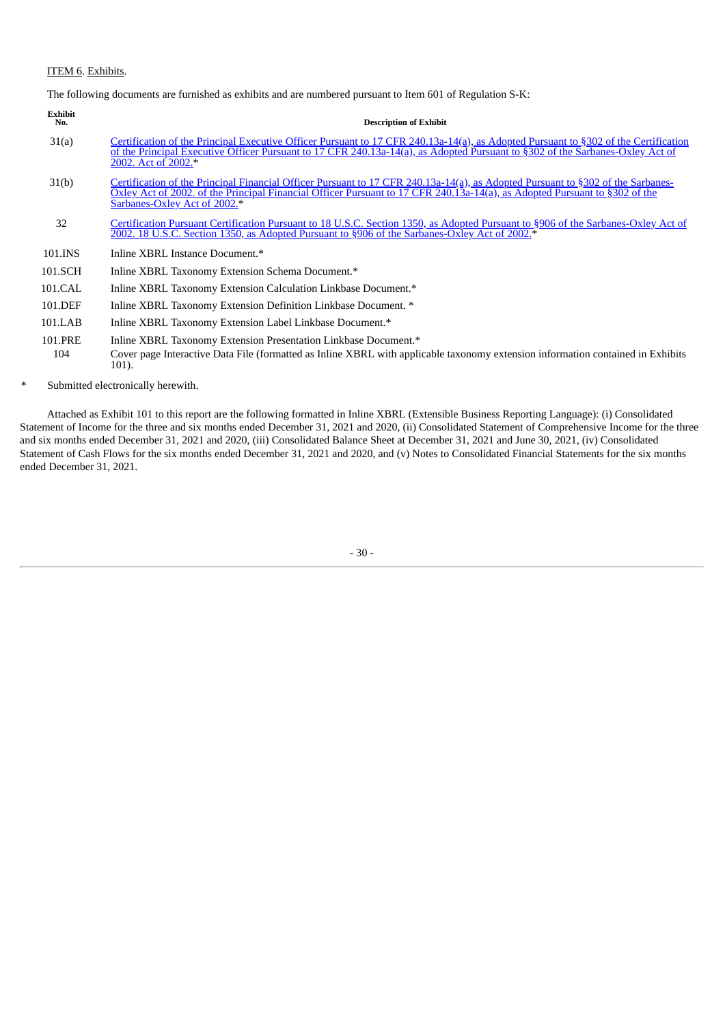#### ITEM 6. Exhibits.

The following documents are furnished as exhibits and are numbered pursuant to Item 601 of Regulation S-K:

| <b>Exhibit</b><br>No. | <b>Description of Exhibit</b>                                                                                                                                                                                                                                                                             |
|-----------------------|-----------------------------------------------------------------------------------------------------------------------------------------------------------------------------------------------------------------------------------------------------------------------------------------------------------|
| 31(a)                 | Certification of the Principal Executive Officer Pursuant to 17 CFR 240.13a-14(a), as Adopted Pursuant to §302 of the Certification<br>of the Principal Executive Officer Pursuant to 17 CFR 240.13a-14(a), as Adopted Pursuant to §302 of the Sarbanes-Oxley Act of<br>2002. Act of 2002.*               |
| 31(b)                 | Certification of the Principal Financial Officer Pursuant to 17 CFR 240.13a-14(a), as Adopted Pursuant to §302 of the Sarbanes-<br>Oxley Act of 2002, of the Principal Financial Officer Pursuant to 17 CFR 240.13a-14(a), as Adopted Pursuant to §302 of the<br>Sarbanes-Oxley Act of 2002. <sup>*</sup> |
| 32                    | Certification Pursuant Certification Pursuant to 18 U.S.C. Section 1350, as Adopted Pursuant to §906 of the Sarbanes-Oxley Act of<br>2002. 18 U.S.C. Section 1350, as Adopted Pursuant to §906 of the Sarbanes-Oxley Act of 2002.*                                                                        |
| 101.INS               | Inline XBRL Instance Document.*                                                                                                                                                                                                                                                                           |
| 101.SCH               | Inline XBRL Taxonomy Extension Schema Document.*                                                                                                                                                                                                                                                          |
| 101.CAL               | Inline XBRL Taxonomy Extension Calculation Linkbase Document.*                                                                                                                                                                                                                                            |
| 101.DEF               | Inline XBRL Taxonomy Extension Definition Linkbase Document. *                                                                                                                                                                                                                                            |
| 101.LAB               | Inline XBRL Taxonomy Extension Label Linkbase Document.*                                                                                                                                                                                                                                                  |
| 101.PRE               | Inline XBRL Taxonomy Extension Presentation Linkbase Document.*                                                                                                                                                                                                                                           |
| 104                   | Cover page Interactive Data File (formatted as Inline XBRL with applicable taxonomy extension information contained in Exhibits<br>101).                                                                                                                                                                  |

\* Submitted electronically herewith.

Attached as Exhibit 101 to this report are the following formatted in Inline XBRL (Extensible Business Reporting Language): (i) Consolidated Statement of Income for the three and six months ended December 31, 2021 and 2020, (ii) Consolidated Statement of Comprehensive Income for the three and six months ended December 31, 2021 and 2020, (iii) Consolidated Balance Sheet at December 31, 2021 and June 30, 2021, (iv) Consolidated Statement of Cash Flows for the six months ended December 31, 2021 and 2020, and (v) Notes to Consolidated Financial Statements for the six months ended December 31, 2021.

- 30 -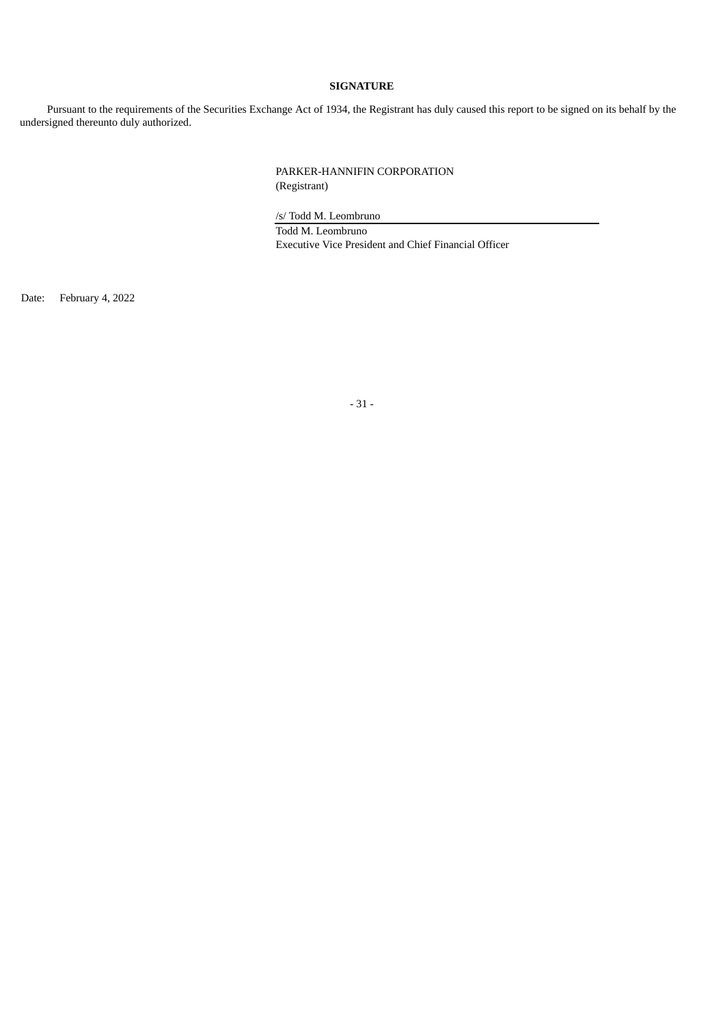#### **SIGNATURE**

Pursuant to the requirements of the Securities Exchange Act of 1934, the Registrant has duly caused this report to be signed on its behalf by the undersigned thereunto duly authorized.

> PARKER-HANNIFIN CORPORATION (Registrant)

/s/ Todd M. Leombruno

Todd M. Leombruno Executive Vice President and Chief Financial Officer

Date: February 4, 2022

- 31 -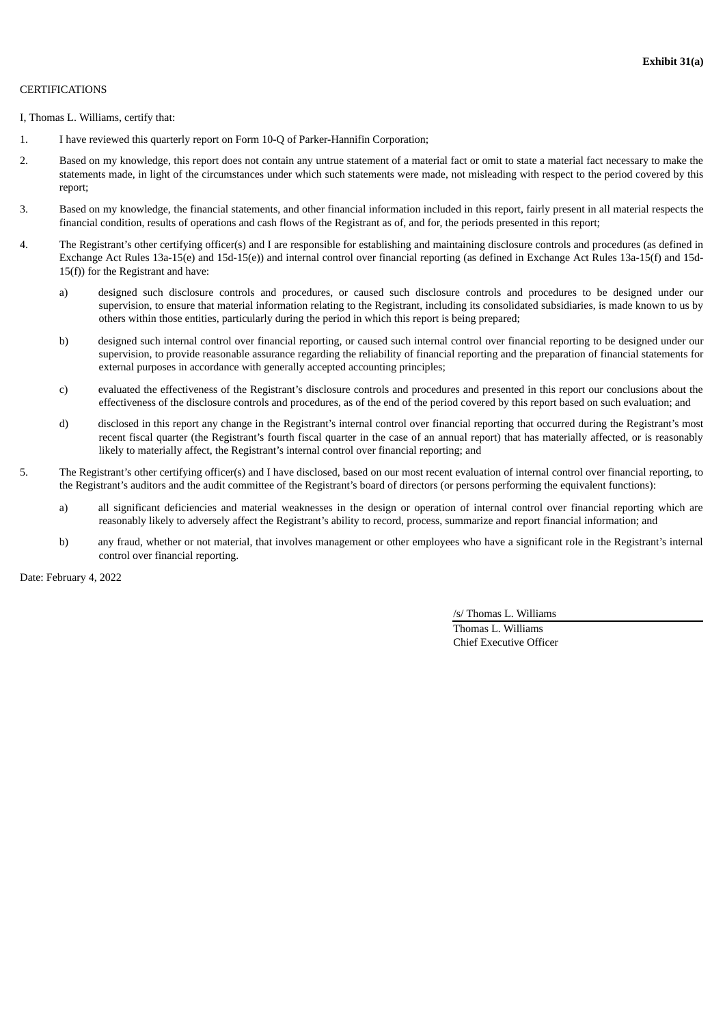### <span id="page-31-0"></span>**CERTIFICATIONS**

I, Thomas L. Williams, certify that:

- 1. I have reviewed this quarterly report on Form 10-Q of Parker-Hannifin Corporation;
- 2. Based on my knowledge, this report does not contain any untrue statement of a material fact or omit to state a material fact necessary to make the statements made, in light of the circumstances under which such statements were made, not misleading with respect to the period covered by this report;
- 3. Based on my knowledge, the financial statements, and other financial information included in this report, fairly present in all material respects the financial condition, results of operations and cash flows of the Registrant as of, and for, the periods presented in this report;
- 4. The Registrant's other certifying officer(s) and I are responsible for establishing and maintaining disclosure controls and procedures (as defined in Exchange Act Rules 13a-15(e) and 15d-15(e)) and internal control over financial reporting (as defined in Exchange Act Rules 13a-15(f) and 15d-15(f)) for the Registrant and have:
	- a) designed such disclosure controls and procedures, or caused such disclosure controls and procedures to be designed under our supervision, to ensure that material information relating to the Registrant, including its consolidated subsidiaries, is made known to us by others within those entities, particularly during the period in which this report is being prepared;
	- b) designed such internal control over financial reporting, or caused such internal control over financial reporting to be designed under our supervision, to provide reasonable assurance regarding the reliability of financial reporting and the preparation of financial statements for external purposes in accordance with generally accepted accounting principles;
	- c) evaluated the effectiveness of the Registrant's disclosure controls and procedures and presented in this report our conclusions about the effectiveness of the disclosure controls and procedures, as of the end of the period covered by this report based on such evaluation; and
	- d) disclosed in this report any change in the Registrant's internal control over financial reporting that occurred during the Registrant's most recent fiscal quarter (the Registrant's fourth fiscal quarter in the case of an annual report) that has materially affected, or is reasonably likely to materially affect, the Registrant's internal control over financial reporting; and
- 5. The Registrant's other certifying officer(s) and I have disclosed, based on our most recent evaluation of internal control over financial reporting, to the Registrant's auditors and the audit committee of the Registrant's board of directors (or persons performing the equivalent functions):
	- a) all significant deficiencies and material weaknesses in the design or operation of internal control over financial reporting which are reasonably likely to adversely affect the Registrant's ability to record, process, summarize and report financial information; and
	- b) any fraud, whether or not material, that involves management or other employees who have a significant role in the Registrant's internal control over financial reporting.

Date: February 4, 2022

/s/ Thomas L. Williams

Thomas L. Williams Chief Executive Officer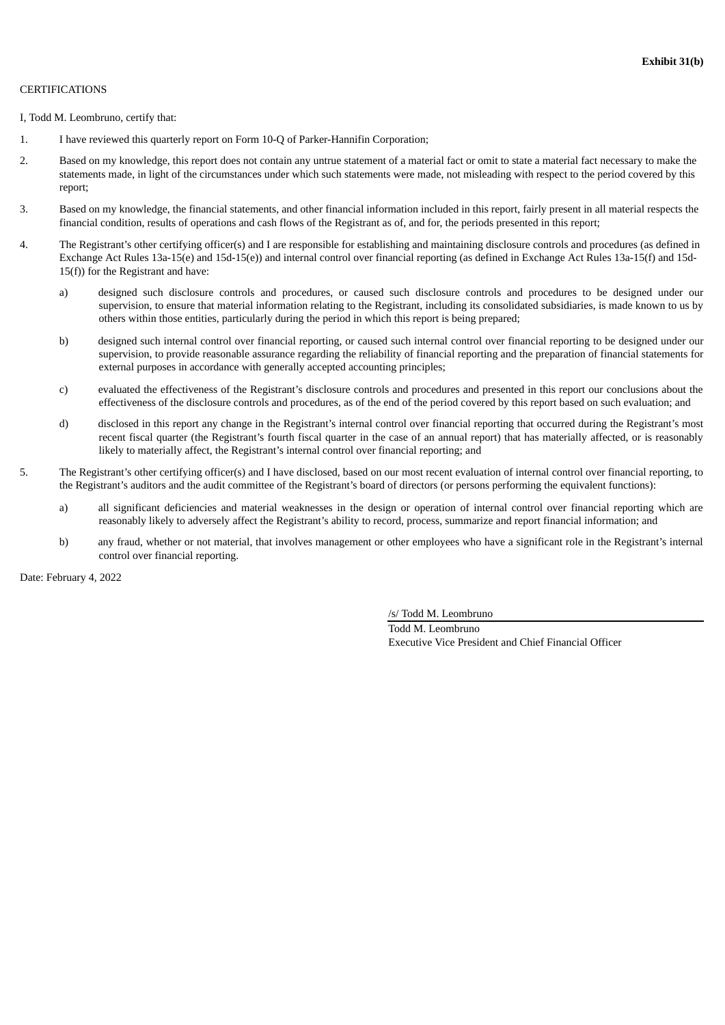### <span id="page-32-0"></span>**CERTIFICATIONS**

I, Todd M. Leombruno, certify that:

- 1. I have reviewed this quarterly report on Form 10-Q of Parker-Hannifin Corporation;
- 2. Based on my knowledge, this report does not contain any untrue statement of a material fact or omit to state a material fact necessary to make the statements made, in light of the circumstances under which such statements were made, not misleading with respect to the period covered by this report;
- 3. Based on my knowledge, the financial statements, and other financial information included in this report, fairly present in all material respects the financial condition, results of operations and cash flows of the Registrant as of, and for, the periods presented in this report;
- 4. The Registrant's other certifying officer(s) and I are responsible for establishing and maintaining disclosure controls and procedures (as defined in Exchange Act Rules 13a-15(e) and 15d-15(e)) and internal control over financial reporting (as defined in Exchange Act Rules 13a-15(f) and 15d-15(f)) for the Registrant and have:
	- a) designed such disclosure controls and procedures, or caused such disclosure controls and procedures to be designed under our supervision, to ensure that material information relating to the Registrant, including its consolidated subsidiaries, is made known to us by others within those entities, particularly during the period in which this report is being prepared;
	- b) designed such internal control over financial reporting, or caused such internal control over financial reporting to be designed under our supervision, to provide reasonable assurance regarding the reliability of financial reporting and the preparation of financial statements for external purposes in accordance with generally accepted accounting principles;
	- c) evaluated the effectiveness of the Registrant's disclosure controls and procedures and presented in this report our conclusions about the effectiveness of the disclosure controls and procedures, as of the end of the period covered by this report based on such evaluation; and
	- d) disclosed in this report any change in the Registrant's internal control over financial reporting that occurred during the Registrant's most recent fiscal quarter (the Registrant's fourth fiscal quarter in the case of an annual report) that has materially affected, or is reasonably likely to materially affect, the Registrant's internal control over financial reporting; and
- 5. The Registrant's other certifying officer(s) and I have disclosed, based on our most recent evaluation of internal control over financial reporting, to the Registrant's auditors and the audit committee of the Registrant's board of directors (or persons performing the equivalent functions):
	- a) all significant deficiencies and material weaknesses in the design or operation of internal control over financial reporting which are reasonably likely to adversely affect the Registrant's ability to record, process, summarize and report financial information; and
	- b) any fraud, whether or not material, that involves management or other employees who have a significant role in the Registrant's internal control over financial reporting.

Date: February 4, 2022

/s/ Todd M. Leombruno

Todd M. Leombruno Executive Vice President and Chief Financial Officer